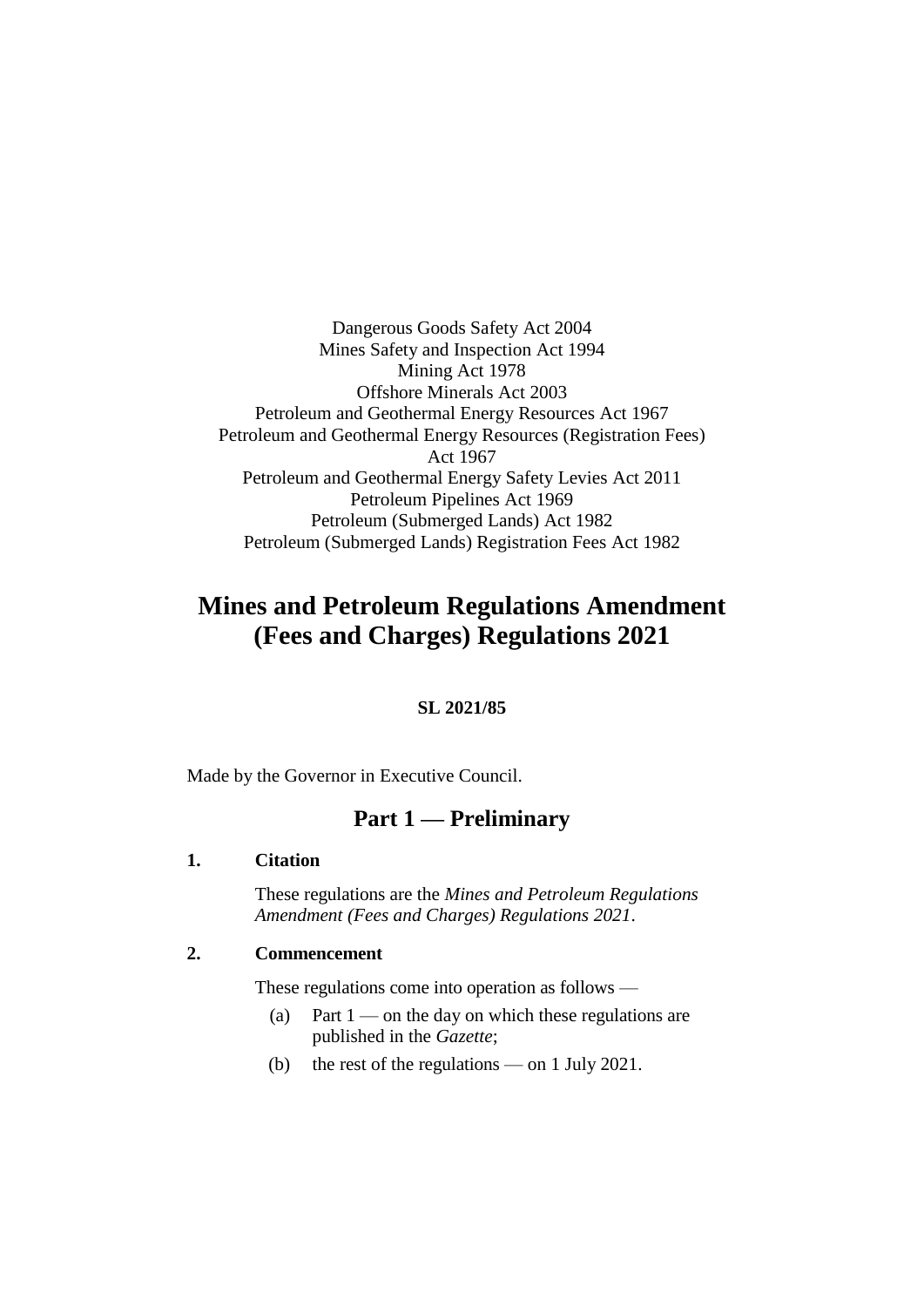Dangerous Goods Safety Act 2004 Mines Safety and Inspection Act 1994 Mining Act 1978 Offshore Minerals Act 2003 Petroleum and Geothermal Energy Resources Act 1967 Petroleum and Geothermal Energy Resources (Registration Fees) Act 1967 Petroleum and Geothermal Energy Safety Levies Act 2011 Petroleum Pipelines Act 1969 Petroleum (Submerged Lands) Act 1982 Petroleum (Submerged Lands) Registration Fees Act 1982

# **Mines and Petroleum Regulations Amendment (Fees and Charges) Regulations 2021**

#### **SL 2021/85**

Made by the Governor in Executive Council.

## **Part 1 — Preliminary**

#### **1. Citation**

These regulations are the *Mines and Petroleum Regulations Amendment (Fees and Charges) Regulations 2021*.

#### **2. Commencement**

These regulations come into operation as follows —

- (a) Part  $1$  on the day on which these regulations are published in the *Gazette*;
- (b) the rest of the regulations on 1 July 2021.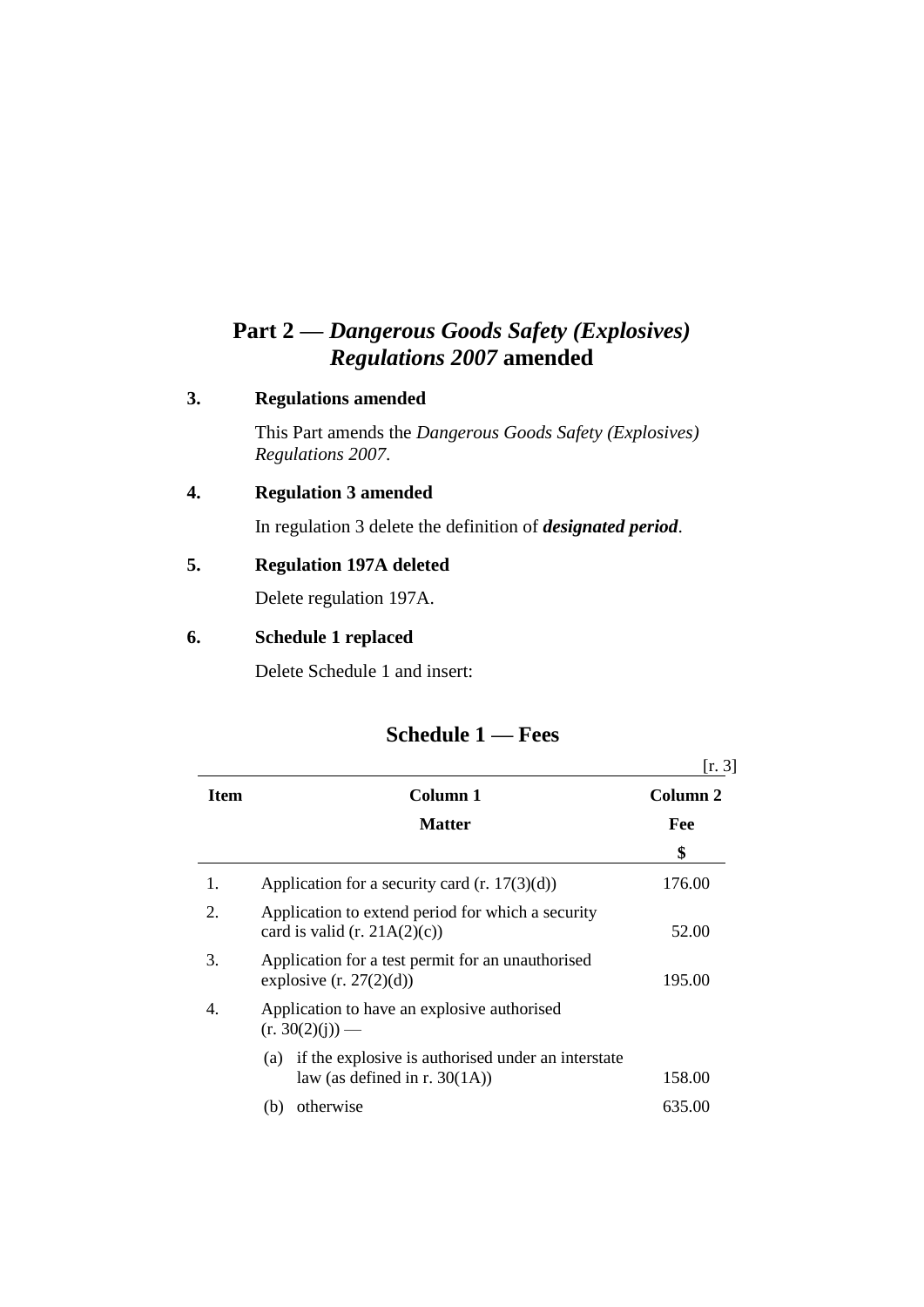# **Part 2 —** *Dangerous Goods Safety (Explosives) Regulations 2007* **amended**

### **3. Regulations amended**

This Part amends the *Dangerous Goods Safety (Explosives) Regulations 2007*.

## **4. Regulation 3 amended**

In regulation 3 delete the definition of *designated period*.

### **5. Regulation 197A deleted**

Delete regulation 197A.

### **6. Schedule 1 replaced**

Delete Schedule 1 and insert:

|      |                                                                                               | [r. 3]   |
|------|-----------------------------------------------------------------------------------------------|----------|
| Item | Column 1                                                                                      | Column 2 |
|      | <b>Matter</b>                                                                                 | Fee      |
|      |                                                                                               | \$       |
| 1.   | Application for a security card $(r. 17(3)(d))$                                               | 176.00   |
| 2.   | Application to extend period for which a security<br>card is valid (r. $21A(2)(c)$ )          | 52.00    |
| 3.   | Application for a test permit for an unauthorised<br>explosive $(r. 27(2)(d))$                | 195.00   |
| 4.   | Application to have an explosive authorised<br>$(r. 30(2)(i))$ —                              |          |
|      | if the explosive is authorised under an interstate<br>(a)<br>law (as defined in r. $30(1A)$ ) | 158.00   |
|      | otherwise<br>(b)                                                                              | 635.00   |

## **Schedule 1 — Fees**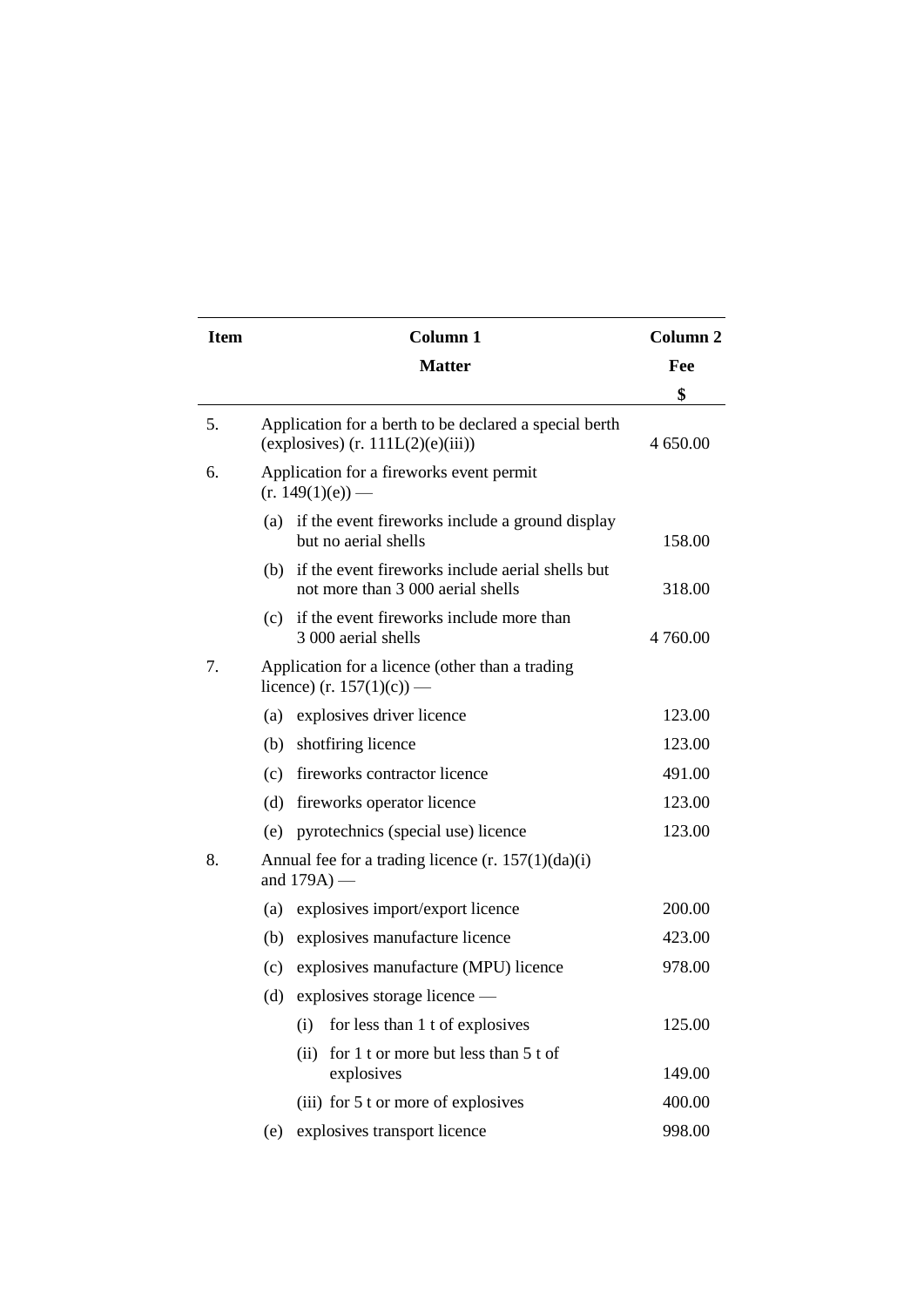| <b>Item</b> |                                                                              | Column <sub>2</sub>                                                                           |          |
|-------------|------------------------------------------------------------------------------|-----------------------------------------------------------------------------------------------|----------|
|             |                                                                              | Fee                                                                                           |          |
|             |                                                                              |                                                                                               | \$       |
| 5.          |                                                                              | Application for a berth to be declared a special berth<br>(explosives) $(r. 111L(2)(e)(iii))$ | 4 650.00 |
| 6.          |                                                                              | Application for a fireworks event permit<br>$(r. 149(1)(e))$ —                                |          |
|             | (a)                                                                          | if the event fireworks include a ground display<br>but no aerial shells                       | 158.00   |
|             |                                                                              | (b) if the event fireworks include aerial shells but<br>not more than 3 000 aerial shells     | 318.00   |
|             |                                                                              | (c) if the event fireworks include more than<br>3 000 aerial shells                           | 4 760.00 |
| 7.          | Application for a licence (other than a trading<br>licence) (r. 157(1)(c)) — |                                                                                               |          |
|             |                                                                              | (a) explosives driver licence                                                                 | 123.00   |
|             | (b)                                                                          | shotfiring licence                                                                            | 123.00   |
|             | (c)                                                                          | fireworks contractor licence                                                                  | 491.00   |
|             | (d)                                                                          | fireworks operator licence                                                                    | 123.00   |
|             | (e)                                                                          | pyrotechnics (special use) licence                                                            | 123.00   |
| 8.          | Annual fee for a trading licence $(r. 157(1)(da)(i))$<br>and $179A$ ) —      |                                                                                               |          |
|             | (a)                                                                          | explosives import/export licence                                                              | 200.00   |
|             |                                                                              | (b) explosives manufacture licence                                                            | 423.00   |
|             | (c)                                                                          | explosives manufacture (MPU) licence                                                          | 978.00   |
|             |                                                                              | (d) explosives storage licence $-$                                                            |          |
|             |                                                                              | for less than 1 t of explosives<br>(i)                                                        | 125.00   |
|             |                                                                              | for 1 t or more but less than 5 t of<br>(ii)<br>explosives                                    | 149.00   |
|             |                                                                              | (iii) for 5 t or more of explosives                                                           | 400.00   |
|             | (e)                                                                          | explosives transport licence                                                                  | 998.00   |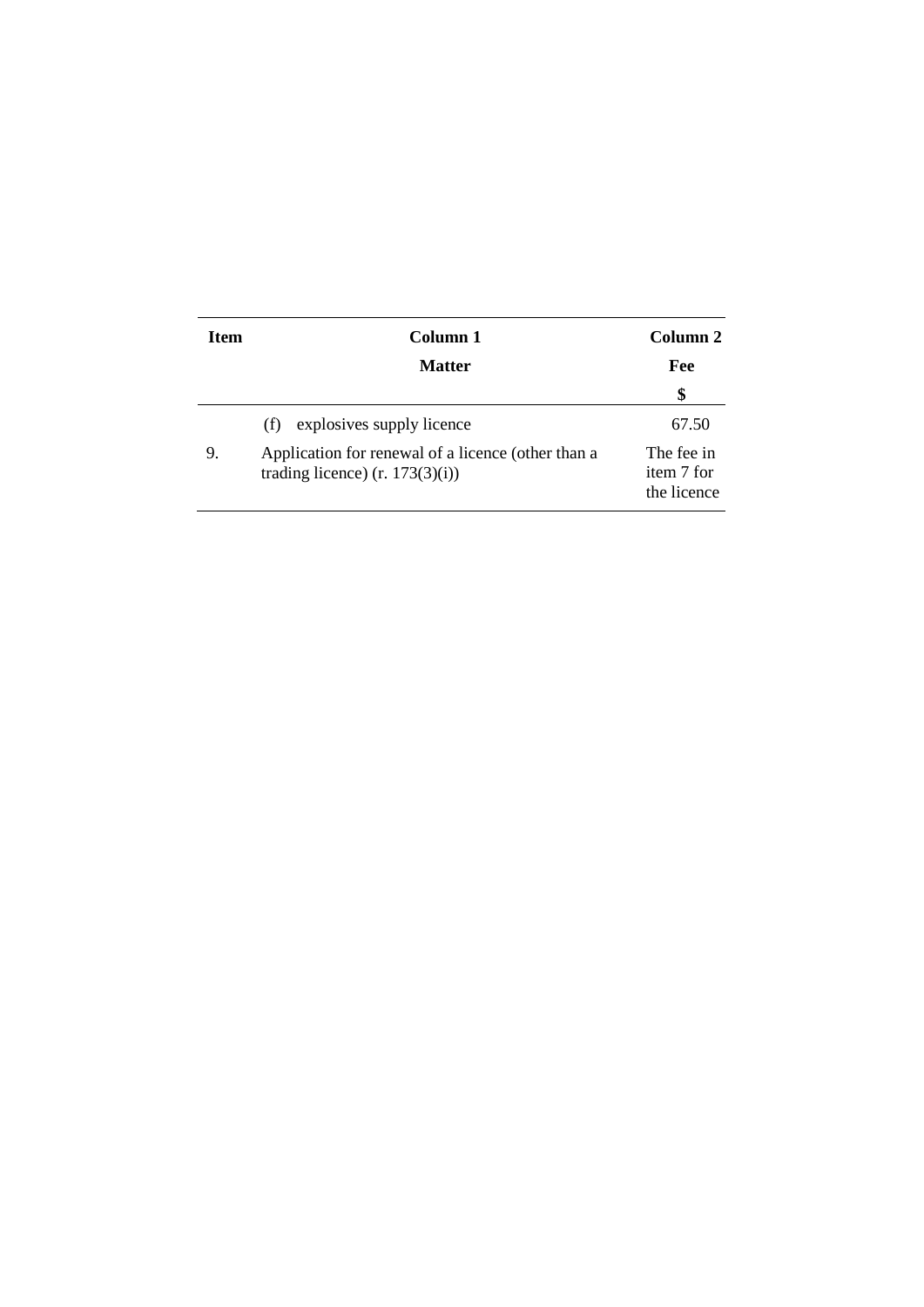| <b>Item</b> | Column 1                                                                                | Column 2                                |
|-------------|-----------------------------------------------------------------------------------------|-----------------------------------------|
|             | <b>Matter</b>                                                                           | Fee                                     |
|             |                                                                                         | \$                                      |
|             | explosives supply licence<br>(f)                                                        | 67.50                                   |
| 9.          | Application for renewal of a licence (other than a<br>trading licence) $(r. 173(3)(i))$ | The fee in<br>item 7 for<br>the licence |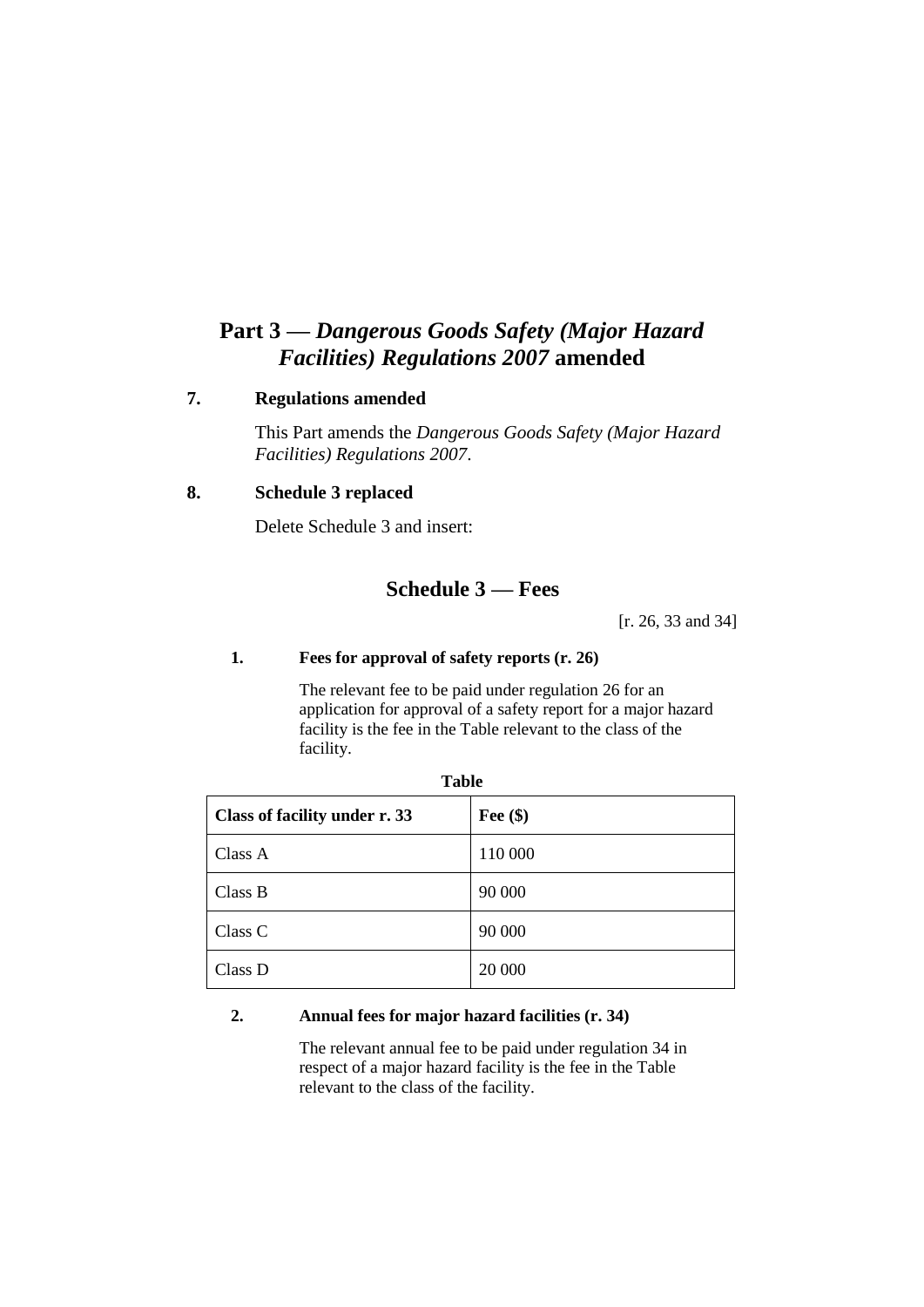## **Part 3 —** *Dangerous Goods Safety (Major Hazard Facilities) Regulations 2007* **amended**

#### **7. Regulations amended**

This Part amends the *Dangerous Goods Safety (Major Hazard Facilities) Regulations 2007*.

#### **8. Schedule 3 replaced**

Delete Schedule 3 and insert:

## **Schedule 3 — Fees**

[r. 26, 33 and 34]

#### **1. Fees for approval of safety reports (r. 26)**

The relevant fee to be paid under regulation 26 for an application for approval of a safety report for a major hazard facility is the fee in the Table relevant to the class of the facility.

| Class of facility under r. 33 | Fee $(\$)$ |
|-------------------------------|------------|
| Class A                       | 110 000    |
| Class B                       | 90 000     |
| Class C                       | 90 000     |
| Class D                       | 20 000     |

**Table**

#### **2. Annual fees for major hazard facilities (r. 34)**

The relevant annual fee to be paid under regulation 34 in respect of a major hazard facility is the fee in the Table relevant to the class of the facility.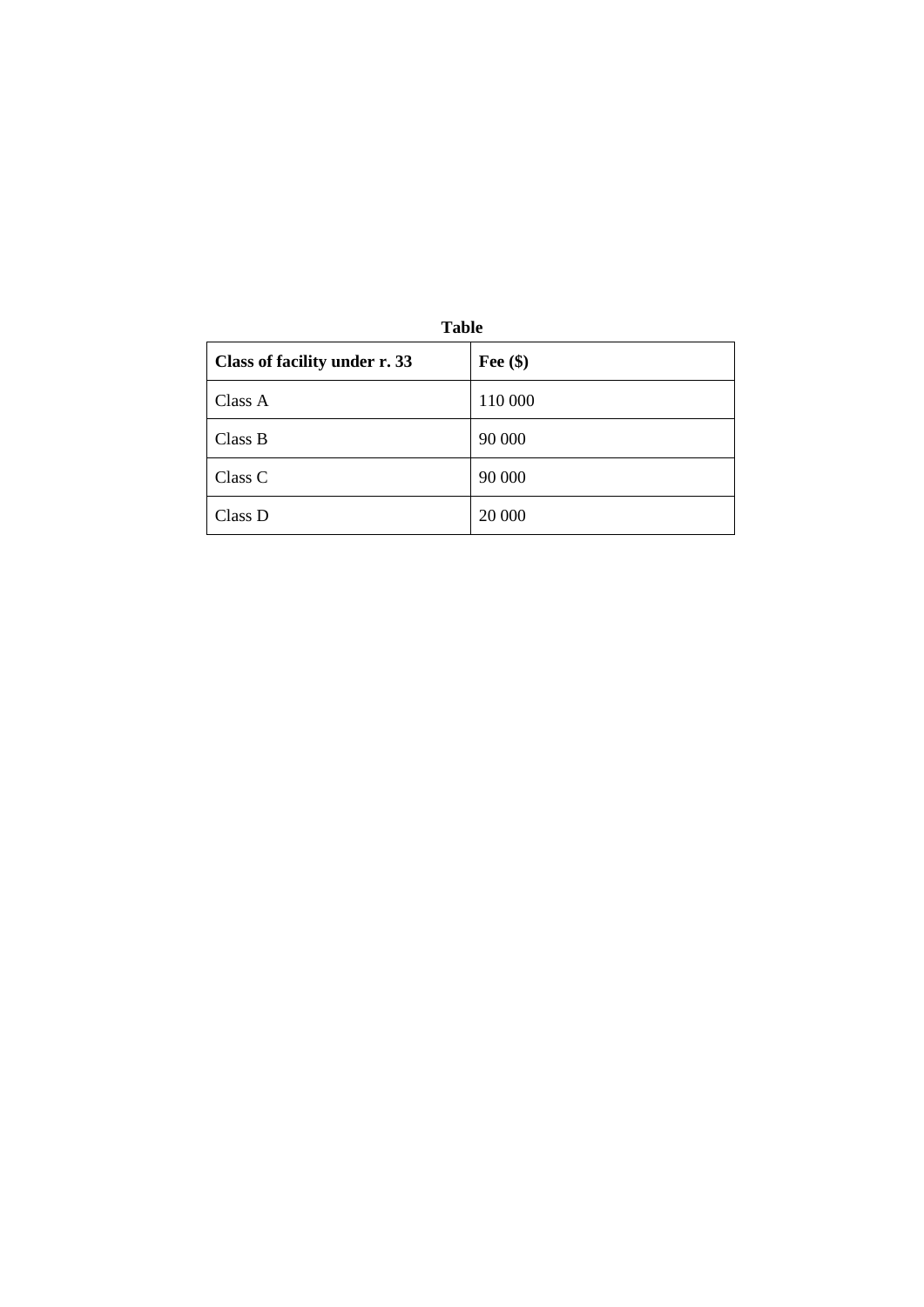| <b>Table</b>                  |            |  |  |
|-------------------------------|------------|--|--|
| Class of facility under r. 33 | Fee $(\$)$ |  |  |
| Class A                       | 110 000    |  |  |
| Class B                       | 90 000     |  |  |
| Class C                       | 90 000     |  |  |
| Class D                       | 20 000     |  |  |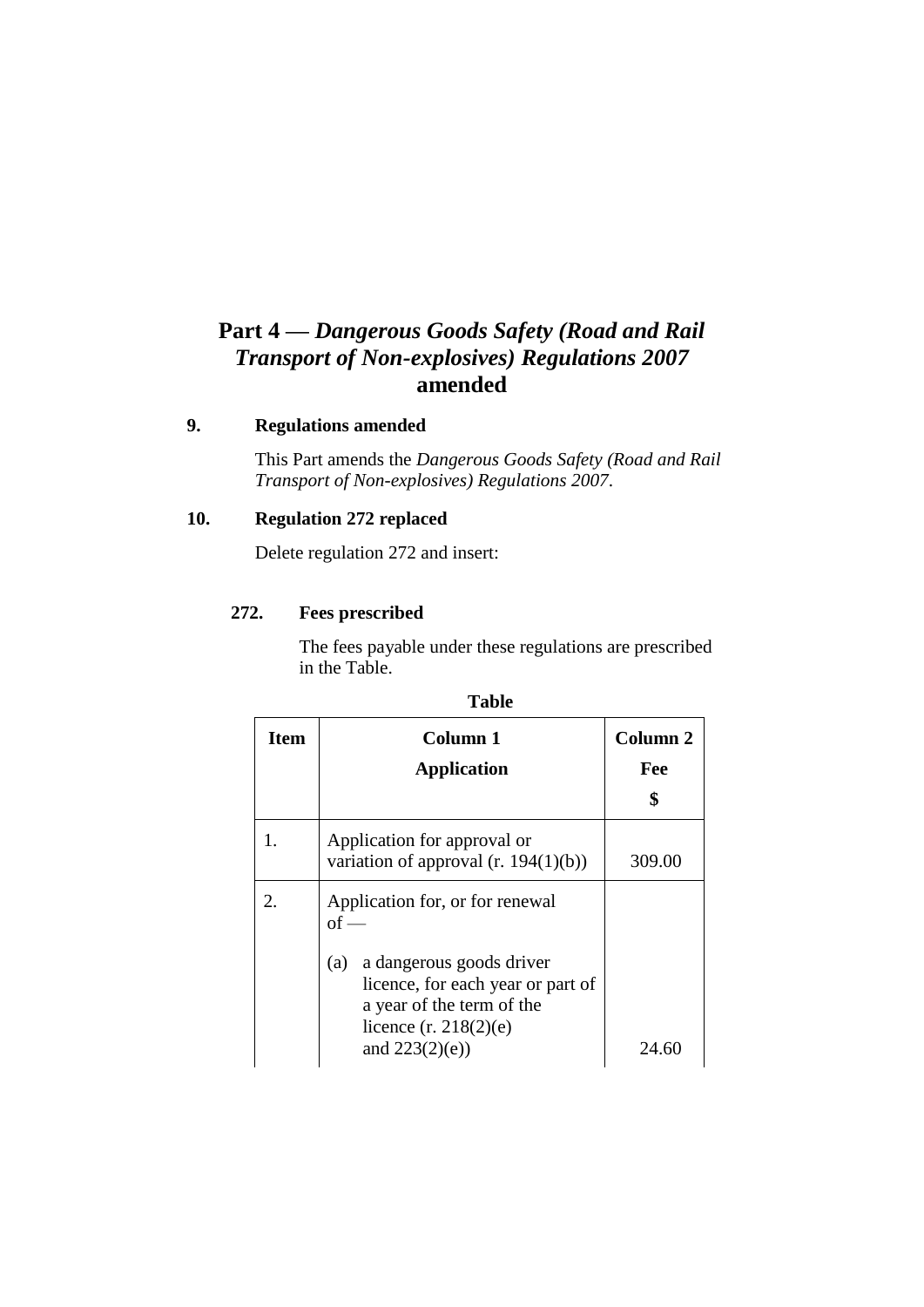# **Part 4 —** *Dangerous Goods Safety (Road and Rail Transport of Non-explosives) Regulations 2007* **amended**

### **9. Regulations amended**

This Part amends the *Dangerous Goods Safety (Road and Rail Transport of Non-explosives) Regulations 2007*.

### **10. Regulation 272 replaced**

Delete regulation 272 and insert:

#### **272. Fees prescribed**

The fees payable under these regulations are prescribed in the Table.

| <b>Item</b> | Column 1                                                                                                                     | <b>Column 2</b> |
|-------------|------------------------------------------------------------------------------------------------------------------------------|-----------------|
|             | <b>Application</b>                                                                                                           | Fee             |
|             |                                                                                                                              | \$              |
| 1.          | Application for approval or<br>variation of approval $(r. 194(1)(b))$                                                        | 309.00          |
| 2.          | Application for, or for renewal<br>$\alpha f =$                                                                              |                 |
|             | a dangerous goods driver<br>(a)<br>licence, for each year or part of<br>a year of the term of the<br>licence $(r. 218(2)(e)$ |                 |
|             | and $223(2)(e)$ )                                                                                                            | 24.60           |

| ×<br>۰.<br>v<br>۰.<br>I |
|-------------------------|
|-------------------------|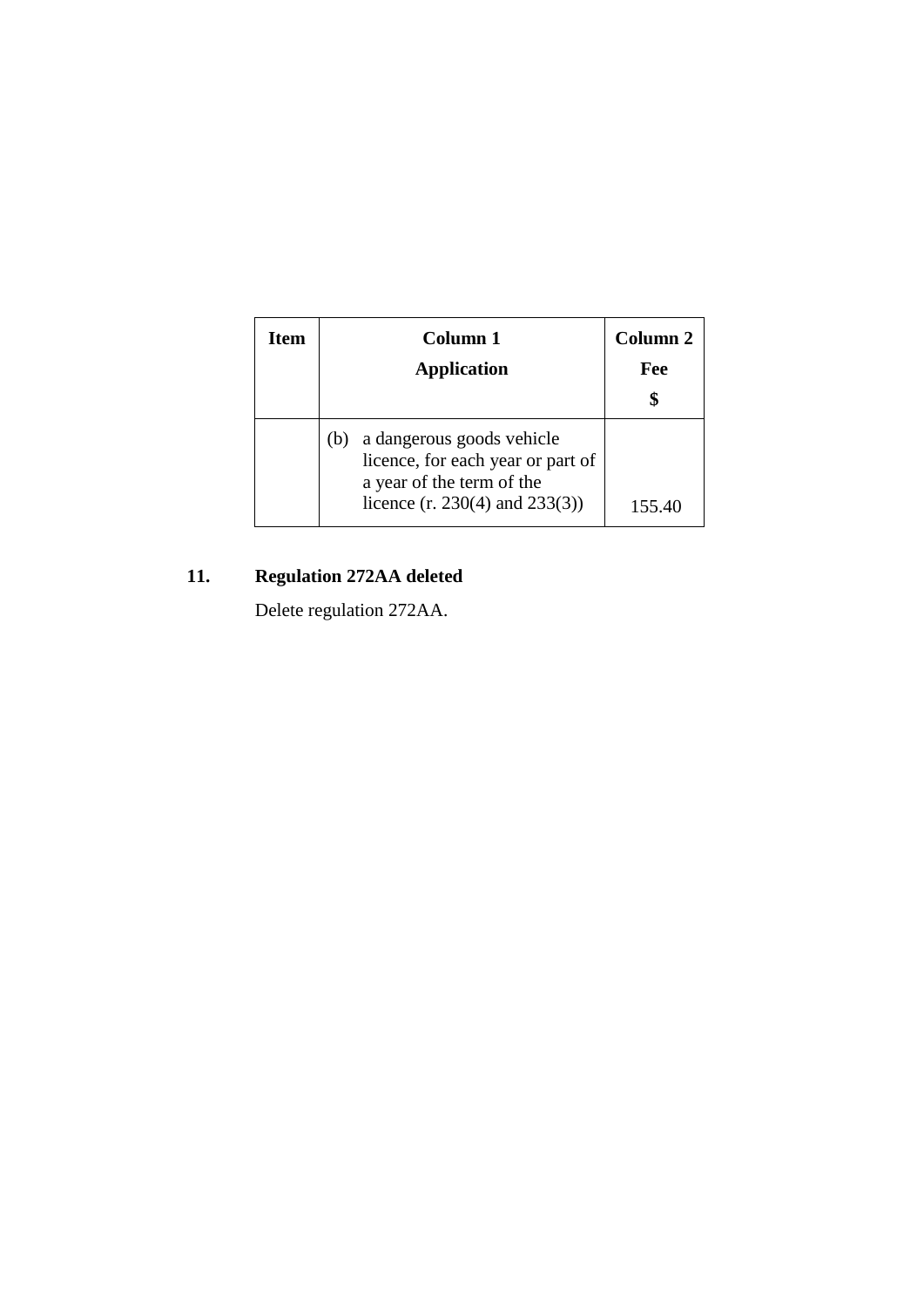| Item | Column 1<br><b>Application</b>                                                                                                           | Column 2<br>Fee |
|------|------------------------------------------------------------------------------------------------------------------------------------------|-----------------|
|      | a dangerous goods vehicle<br>(b)<br>licence, for each year or part of<br>a year of the term of the<br>licence $(r. 230(4)$ and $233(3))$ | 155.40          |

# **11. Regulation 272AA deleted**

Delete regulation 272AA.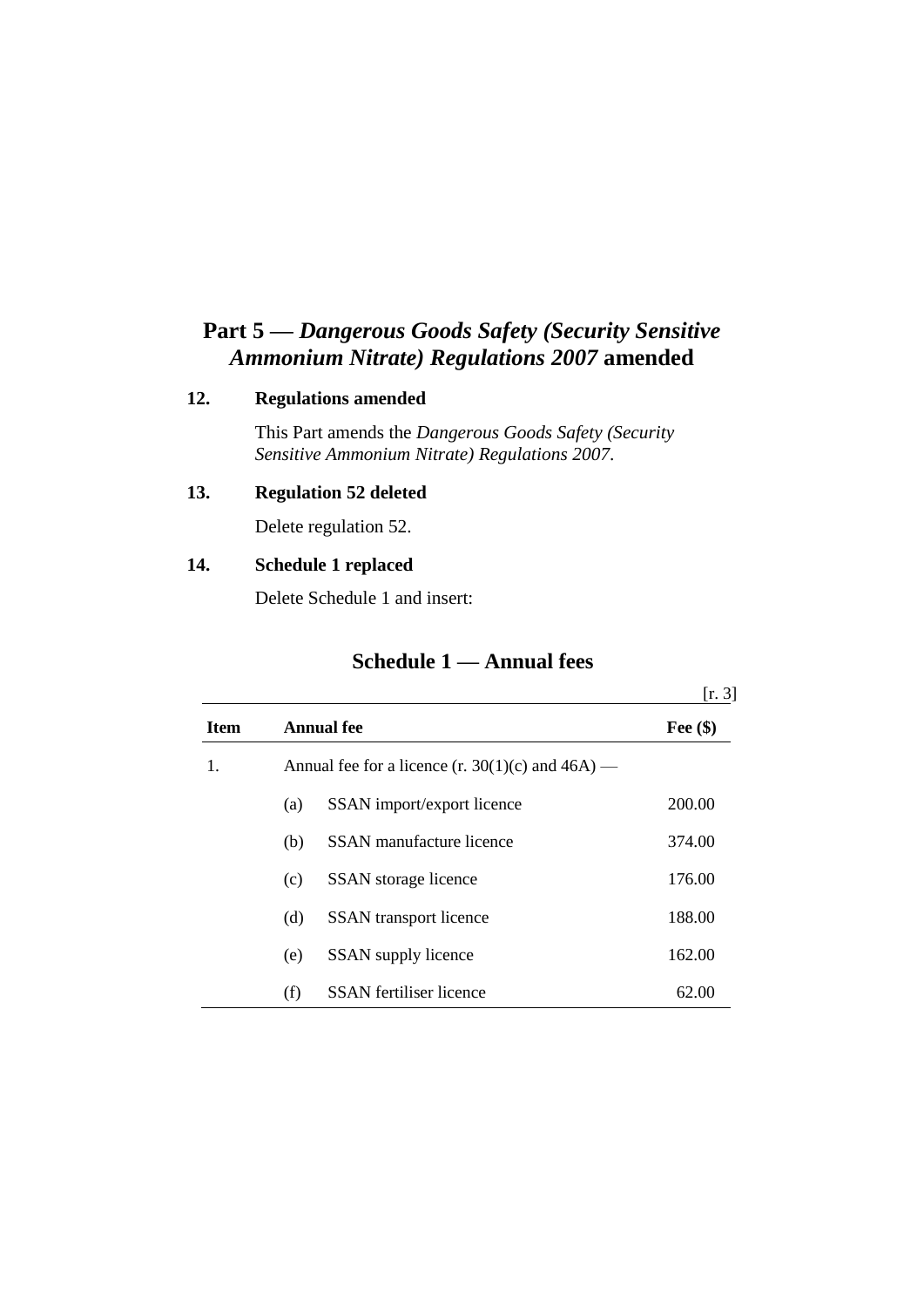# **Part 5 —** *Dangerous Goods Safety (Security Sensitive Ammonium Nitrate) Regulations 2007* **amended**

#### **12. Regulations amended**

This Part amends the *Dangerous Goods Safety (Security Sensitive Ammonium Nitrate) Regulations 2007*.

### **13. Regulation 52 deleted**

Delete regulation 52.

### **14. Schedule 1 replaced**

Delete Schedule 1 and insert:

## **Schedule 1 — Annual fees**

|             |     |                                                       | [r. 3]     |
|-------------|-----|-------------------------------------------------------|------------|
| <b>Item</b> |     | <b>Annual fee</b>                                     | Fee $(\$)$ |
| 1.          |     | Annual fee for a licence $(r. 30(1)(c)$ and $46A$ ) — |            |
|             | (a) | SSAN import/export licence                            | 200.00     |
|             | (b) | <b>SSAN</b> manufacture licence                       | 374.00     |
|             | (c) | SSAN storage licence                                  | 176.00     |
|             | (d) | <b>SSAN</b> transport licence                         | 188.00     |
|             | (e) | SSAN supply licence                                   | 162.00     |
|             | (f) | <b>SSAN</b> fertiliser licence                        | 62.00      |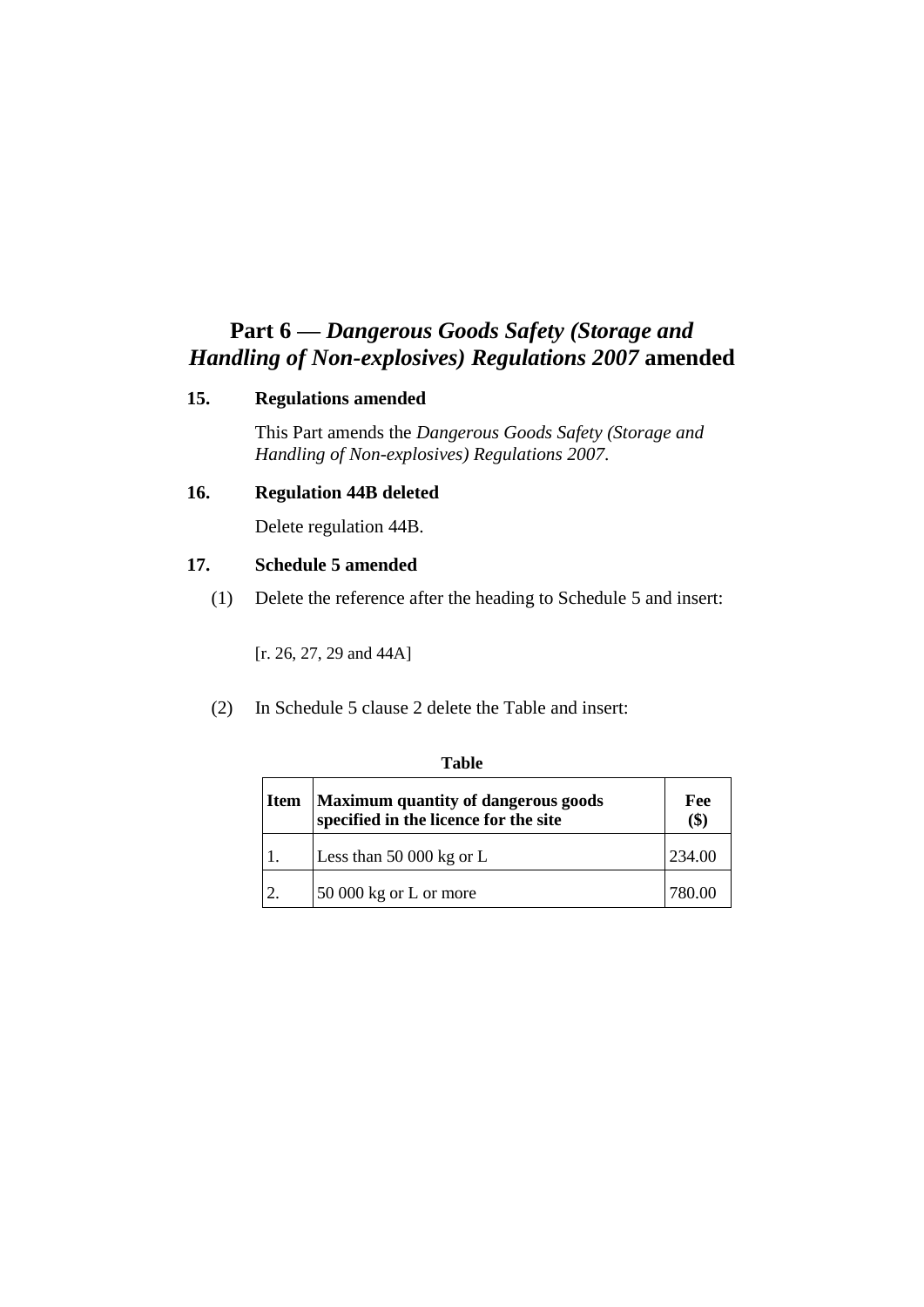## **Part 6 —** *Dangerous Goods Safety (Storage and Handling of Non-explosives) Regulations 2007* **amended**

#### **15. Regulations amended**

This Part amends the *Dangerous Goods Safety (Storage and Handling of Non-explosives) Regulations 2007*.

#### **16. Regulation 44B deleted**

Delete regulation 44B.

#### **17. Schedule 5 amended**

(1) Delete the reference after the heading to Schedule 5 and insert:

[r. 26, 27, 29 and 44A]

(2) In Schedule 5 clause 2 delete the Table and insert:

| <b>Item</b> | <b>Maximum quantity of dangerous goods</b><br>specified in the licence for the site | Fee<br>(\$) |
|-------------|-------------------------------------------------------------------------------------|-------------|
|             | Less than $50000$ kg or L                                                           | 234.00      |
|             | 50 000 kg or L or more                                                              | 780 OC      |

#### **Table**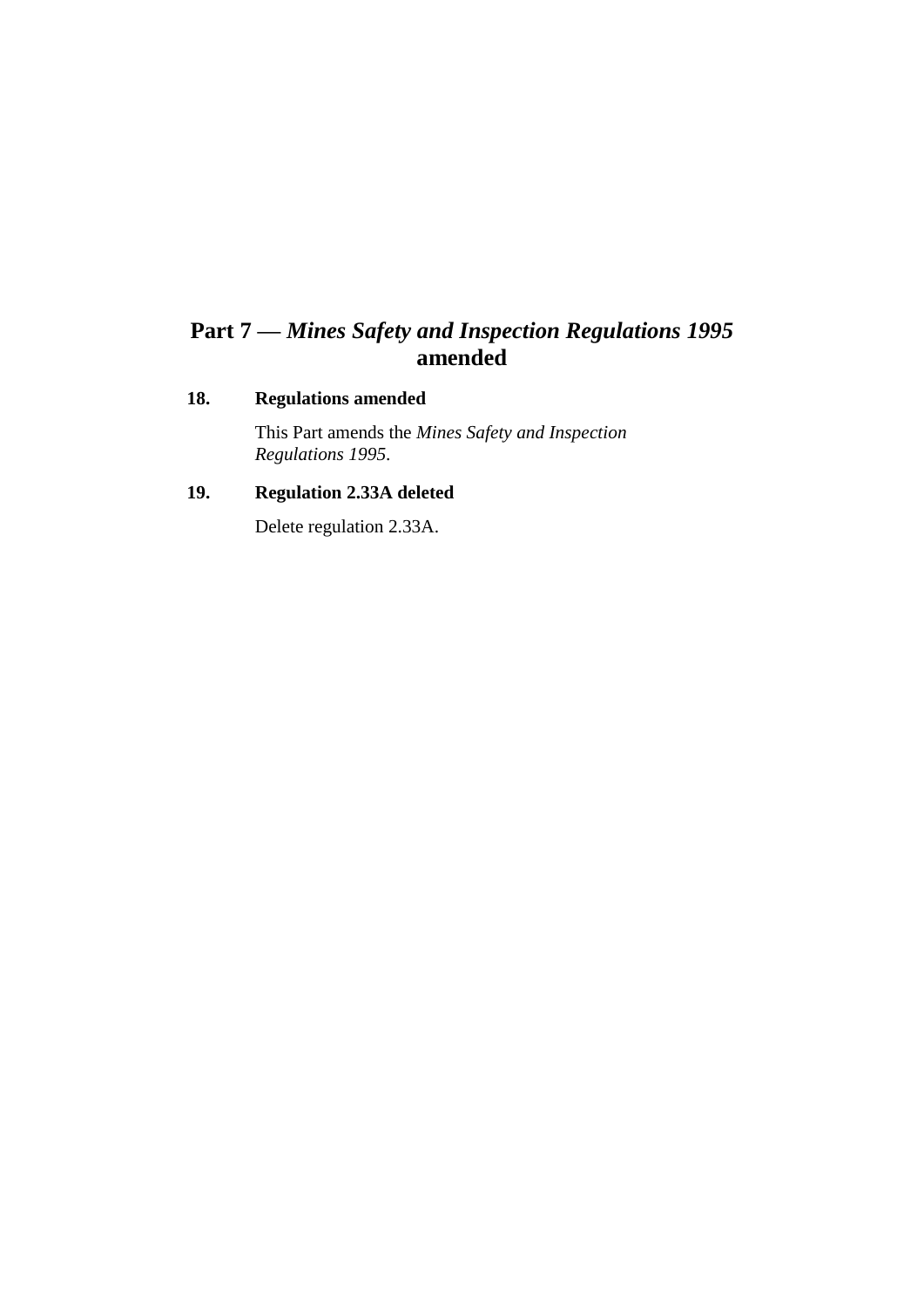# **Part 7 —** *Mines Safety and Inspection Regulations 1995* **amended**

### **18. Regulations amended**

This Part amends the *Mines Safety and Inspection Regulations 1995*.

## **19. Regulation 2.33A deleted**

Delete regulation 2.33A.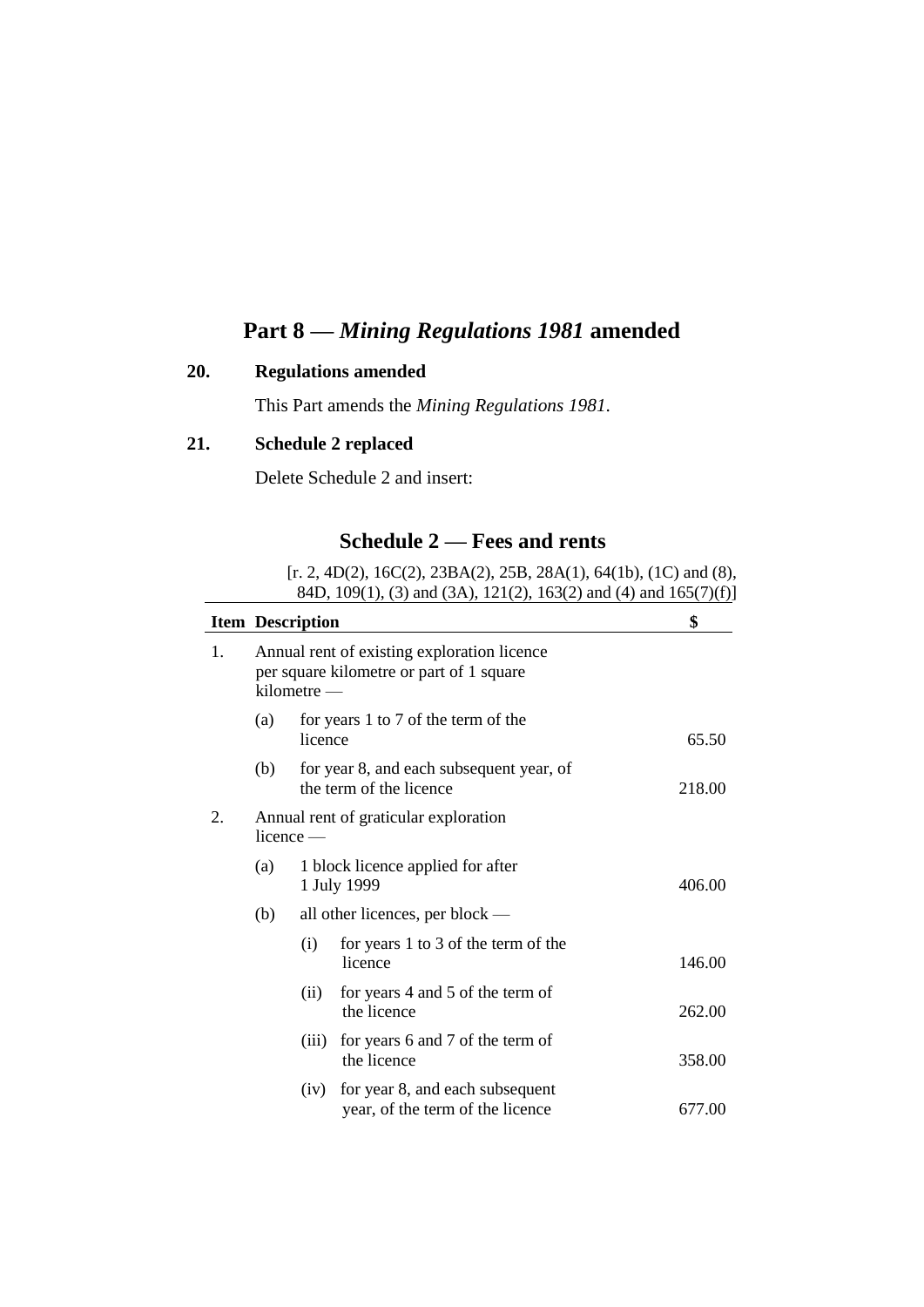## **Part 8 —** *Mining Regulations 1981* **amended**

### **20. Regulations amended**

This Part amends the *Mining Regulations 1981*.

## **21. Schedule 2 replaced**

Delete Schedule 2 and insert:

## **Schedule 2 — Fees and rents**

[r. 2, 4D(2), 16C(2), 23BA(2), 25B, 28A(1), 64(1b), (1C) and (8), 84D, 109(1), (3) and (3A), 121(2), 163(2) and (4) and 165(7)(f)]

|                                                            | <b>Item Description</b><br>Annual rent of existing exploration licence<br>per square kilometre or part of 1 square<br>kilometre — |         |                                                                     | \$     |  |
|------------------------------------------------------------|-----------------------------------------------------------------------------------------------------------------------------------|---------|---------------------------------------------------------------------|--------|--|
| 1.                                                         |                                                                                                                                   |         |                                                                     |        |  |
|                                                            | (a)                                                                                                                               | licence | for years 1 to 7 of the term of the                                 | 65.50  |  |
|                                                            | (b)                                                                                                                               |         | for year 8, and each subsequent year, of<br>the term of the licence | 218.00 |  |
| 2.<br>Annual rent of graticular exploration<br>$licence$ — |                                                                                                                                   |         |                                                                     |        |  |
|                                                            | (a)                                                                                                                               |         | 1 block licence applied for after<br>1 July 1999                    | 406.00 |  |
|                                                            | all other licences, per block —<br>(b)                                                                                            |         |                                                                     |        |  |
|                                                            |                                                                                                                                   | (i)     | for years 1 to 3 of the term of the<br>licence                      | 146.00 |  |
|                                                            |                                                                                                                                   | (ii)    | for years 4 and 5 of the term of<br>the licence                     | 262.00 |  |
|                                                            |                                                                                                                                   | (iii)   | for years 6 and 7 of the term of<br>the licence                     | 358.00 |  |
|                                                            |                                                                                                                                   | (iv)    | for year 8, and each subsequent<br>year, of the term of the licence | 677.00 |  |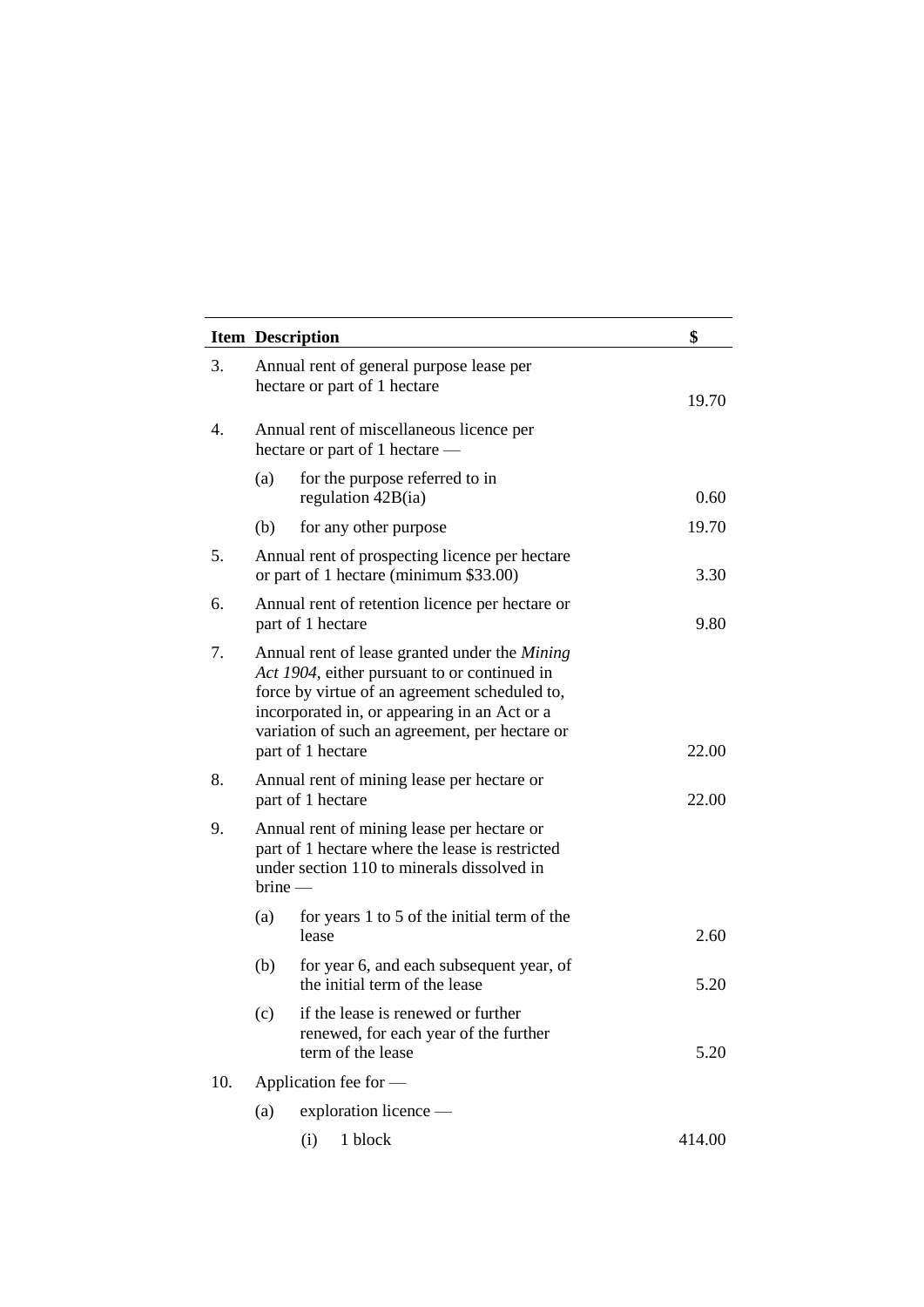|     | <b>Item Description</b>                                                                                                                                                                                                                                               | \$                                                                                               |        |  |  |
|-----|-----------------------------------------------------------------------------------------------------------------------------------------------------------------------------------------------------------------------------------------------------------------------|--------------------------------------------------------------------------------------------------|--------|--|--|
| 3.  |                                                                                                                                                                                                                                                                       | Annual rent of general purpose lease per<br>hectare or part of 1 hectare                         | 19.70  |  |  |
| 4.  |                                                                                                                                                                                                                                                                       | Annual rent of miscellaneous licence per<br>hectare or part of 1 hectare —                       |        |  |  |
|     | (a)                                                                                                                                                                                                                                                                   | for the purpose referred to in<br>regulation 42B(ia)                                             | 0.60   |  |  |
|     | (b)                                                                                                                                                                                                                                                                   | for any other purpose                                                                            | 19.70  |  |  |
| 5.  |                                                                                                                                                                                                                                                                       | Annual rent of prospecting licence per hectare<br>or part of 1 hectare (minimum \$33.00)         | 3.30   |  |  |
| 6.  | Annual rent of retention licence per hectare or<br>part of 1 hectare                                                                                                                                                                                                  |                                                                                                  |        |  |  |
| 7.  | Annual rent of lease granted under the Mining<br>Act 1904, either pursuant to or continued in<br>force by virtue of an agreement scheduled to,<br>incorporated in, or appearing in an Act or a<br>variation of such an agreement, per hectare or<br>part of 1 hectare | 22.00                                                                                            |        |  |  |
| 8.  | Annual rent of mining lease per hectare or<br>part of 1 hectare                                                                                                                                                                                                       | 22.00                                                                                            |        |  |  |
| 9.  | Annual rent of mining lease per hectare or<br>part of 1 hectare where the lease is restricted<br>under section 110 to minerals dissolved in<br>$brine -$                                                                                                              |                                                                                                  |        |  |  |
|     | (a)                                                                                                                                                                                                                                                                   | for years 1 to 5 of the initial term of the<br>lease                                             | 2.60   |  |  |
|     | (b)                                                                                                                                                                                                                                                                   | for year 6, and each subsequent year, of<br>the initial term of the lease                        | 5.20   |  |  |
|     | (c)                                                                                                                                                                                                                                                                   | if the lease is renewed or further<br>renewed, for each year of the further<br>term of the lease | 5.20   |  |  |
| 10. |                                                                                                                                                                                                                                                                       | Application fee for -                                                                            |        |  |  |
|     | (a)                                                                                                                                                                                                                                                                   | exploration licence —                                                                            |        |  |  |
|     |                                                                                                                                                                                                                                                                       | 1 block<br>(i)                                                                                   | 414.00 |  |  |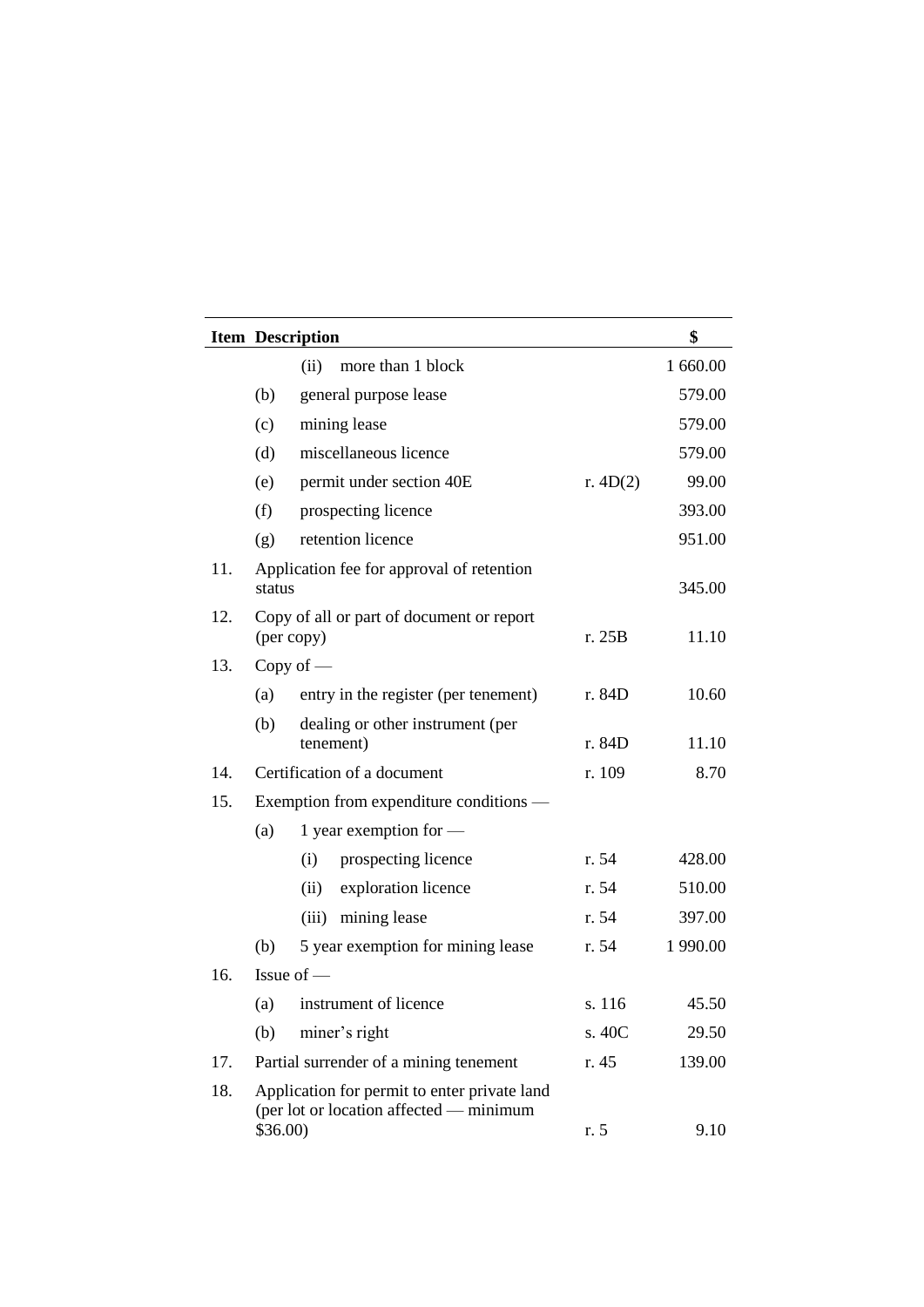|     | <b>Item Description</b>                                                                                       |                                                         |            | \$       |
|-----|---------------------------------------------------------------------------------------------------------------|---------------------------------------------------------|------------|----------|
|     |                                                                                                               | (ii)<br>more than 1 block                               |            | 1 660.00 |
|     | (b)                                                                                                           | general purpose lease                                   |            | 579.00   |
|     | (c)                                                                                                           | mining lease                                            |            | 579.00   |
|     | (d)                                                                                                           | miscellaneous licence                                   |            | 579.00   |
|     | (e)                                                                                                           | permit under section 40E                                | r. $4D(2)$ | 99.00    |
|     | (f)                                                                                                           | prospecting licence                                     |            | 393.00   |
|     | (g)                                                                                                           | retention licence                                       |            | 951.00   |
| 11. | status                                                                                                        | Application fee for approval of retention               |            | 345.00   |
| 12. |                                                                                                               | Copy of all or part of document or report<br>(per copy) | r. 25B     | 11.10    |
| 13. |                                                                                                               | Copy of $-$                                             |            |          |
|     | (a)                                                                                                           | entry in the register (per tenement)                    | r. 84D     | 10.60    |
|     | (b)                                                                                                           | dealing or other instrument (per<br>tenement)           | r. 84D     | 11.10    |
| 14. |                                                                                                               | Certification of a document                             | r. 109     | 8.70     |
| 15. |                                                                                                               | Exemption from expenditure conditions —                 |            |          |
|     | (a)                                                                                                           | 1 year exemption for $-$                                |            |          |
|     |                                                                                                               | prospecting licence<br>(i)                              | r. 54      | 428.00   |
|     |                                                                                                               | exploration licence<br>(ii)                             | r. 54      | 510.00   |
|     |                                                                                                               | mining lease<br>(iii)                                   | r. 54      | 397.00   |
|     | (b)                                                                                                           | 5 year exemption for mining lease                       | r. 54      | 1 990.00 |
| 16. |                                                                                                               | Issue of $-$                                            |            |          |
|     | (a)                                                                                                           | instrument of licence                                   | s. 116     | 45.50    |
|     | (b)                                                                                                           | miner's right                                           | s. 40C     | 29.50    |
| 17. |                                                                                                               | Partial surrender of a mining tenement                  | r. 45      | 139.00   |
| 18. | Application for permit to enter private land<br>(per lot or location affected - minimum<br>$$36.00$ )<br>r. 5 |                                                         | 9.10       |          |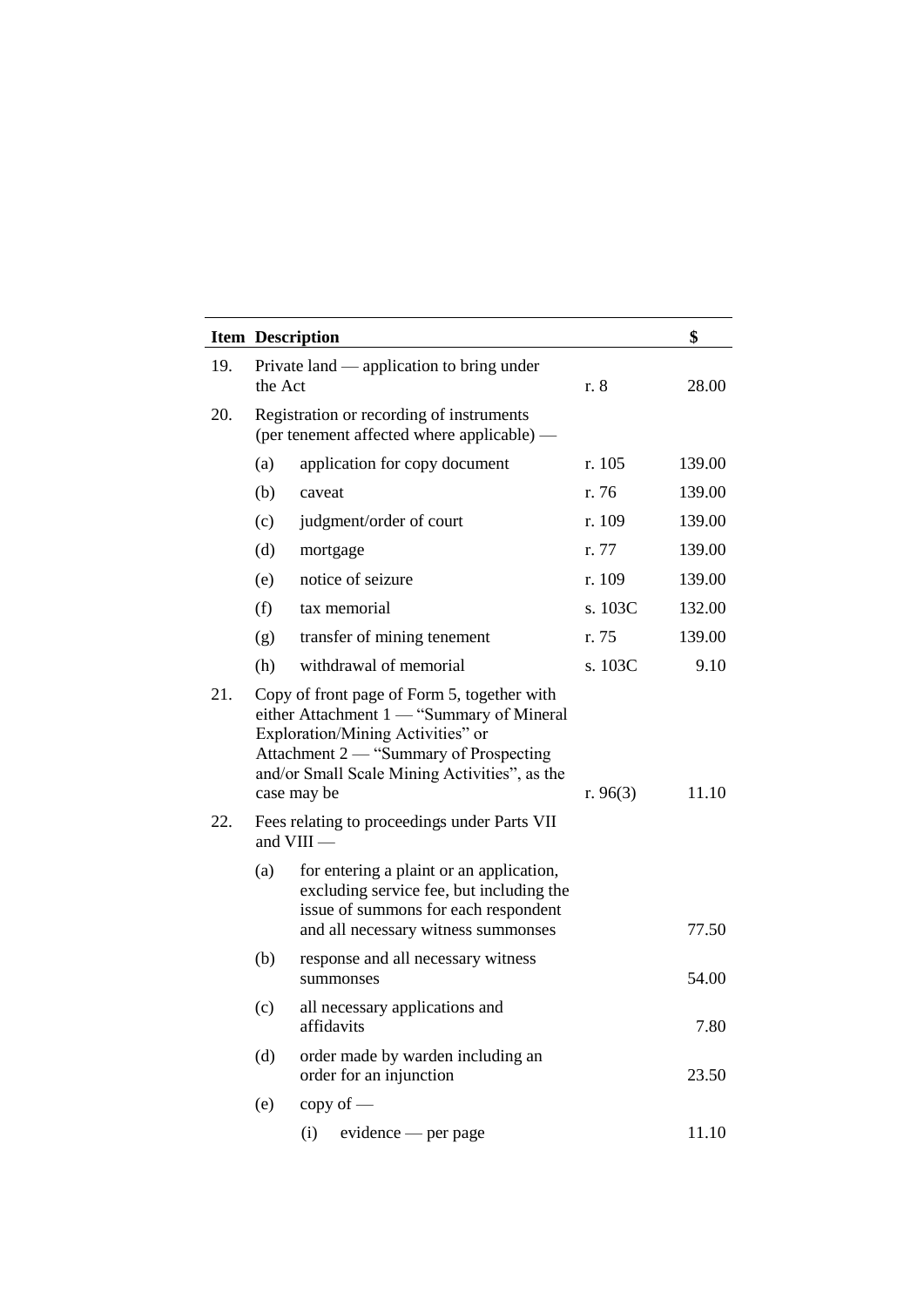|            |         | <b>Item Description</b>                                                                                                                                                                                                                                                                 |            | \$     |
|------------|---------|-----------------------------------------------------------------------------------------------------------------------------------------------------------------------------------------------------------------------------------------------------------------------------------------|------------|--------|
| 19.        | the Act | Private land — application to bring under                                                                                                                                                                                                                                               | r. 8       | 28.00  |
| 20.        |         | Registration or recording of instruments<br>(per tenement affected where applicable) —                                                                                                                                                                                                  |            |        |
|            | (a)     | application for copy document                                                                                                                                                                                                                                                           | r. 105     | 139.00 |
|            | (b)     | caveat                                                                                                                                                                                                                                                                                  | r. 76      | 139.00 |
|            | (c)     | judgment/order of court                                                                                                                                                                                                                                                                 | r. 109     | 139.00 |
|            | (d)     | mortgage                                                                                                                                                                                                                                                                                | r. 77      | 139.00 |
|            | (e)     | notice of seizure                                                                                                                                                                                                                                                                       | r. 109     | 139.00 |
|            | (f)     | tax memorial                                                                                                                                                                                                                                                                            | s. 103C    | 132.00 |
|            | (g)     | transfer of mining tenement                                                                                                                                                                                                                                                             | r. 75      | 139.00 |
|            | (h)     | withdrawal of memorial                                                                                                                                                                                                                                                                  | s. 103C    | 9.10   |
| 21.<br>22. |         | Copy of front page of Form 5, together with<br>either Attachment 1 — "Summary of Mineral<br>Exploration/Mining Activities" or<br>Attachment 2 — "Summary of Prospecting<br>and/or Small Scale Mining Activities", as the<br>case may be<br>Fees relating to proceedings under Parts VII | r. $96(3)$ | 11.10  |
|            |         | and $VIII$ —                                                                                                                                                                                                                                                                            |            |        |
|            | (a)     | for entering a plaint or an application,<br>excluding service fee, but including the<br>issue of summons for each respondent<br>and all necessary witness summonses                                                                                                                     |            | 77.50  |
|            | (b)     | response and all necessary witness<br>summonses                                                                                                                                                                                                                                         |            | 54.00  |
|            | (c)     | all necessary applications and<br>affidavits                                                                                                                                                                                                                                            |            | 7.80   |
|            | (d)     | order made by warden including an<br>order for an injunction                                                                                                                                                                                                                            |            | 23.50  |
|            | (e)     | $copy of$ —                                                                                                                                                                                                                                                                             |            |        |
|            |         | evidence — per page<br>(i)                                                                                                                                                                                                                                                              |            | 11.10  |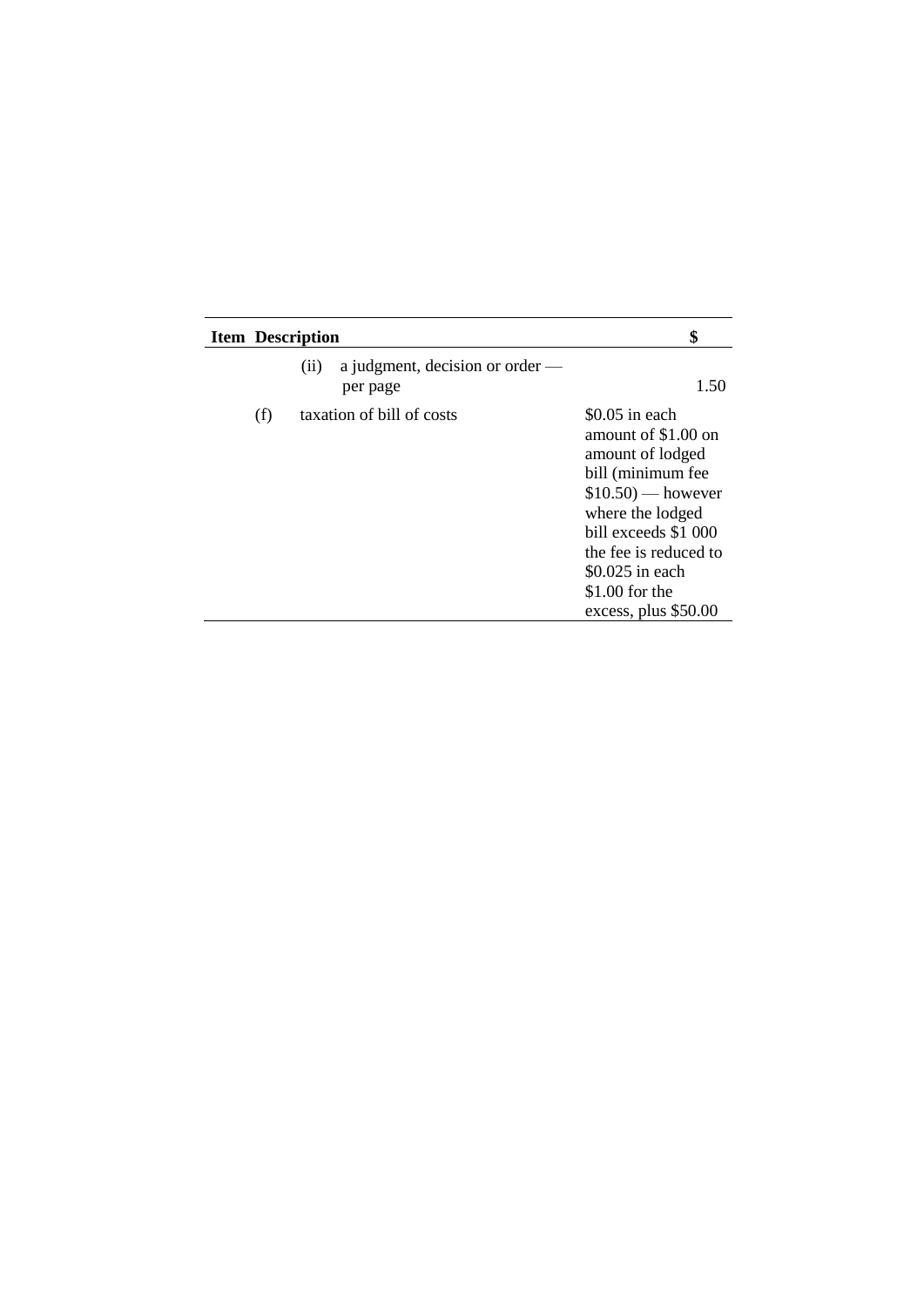| <b>Item Description</b>                             | \$                                                                                                                                                                                                                                         |
|-----------------------------------------------------|--------------------------------------------------------------------------------------------------------------------------------------------------------------------------------------------------------------------------------------------|
| a judgment, decision or order —<br>(ii)<br>per page | 1.50                                                                                                                                                                                                                                       |
| taxation of bill of costs<br>(f)                    | $$0.05$ in each<br>amount of \$1.00 on<br>amount of lodged<br>bill (minimum fee<br>$$10.50$ ) — however<br>where the lodged<br>bill exceeds \$1 000<br>the fee is reduced to<br>$$0.025$ in each<br>\$1.00 for the<br>excess, plus \$50.00 |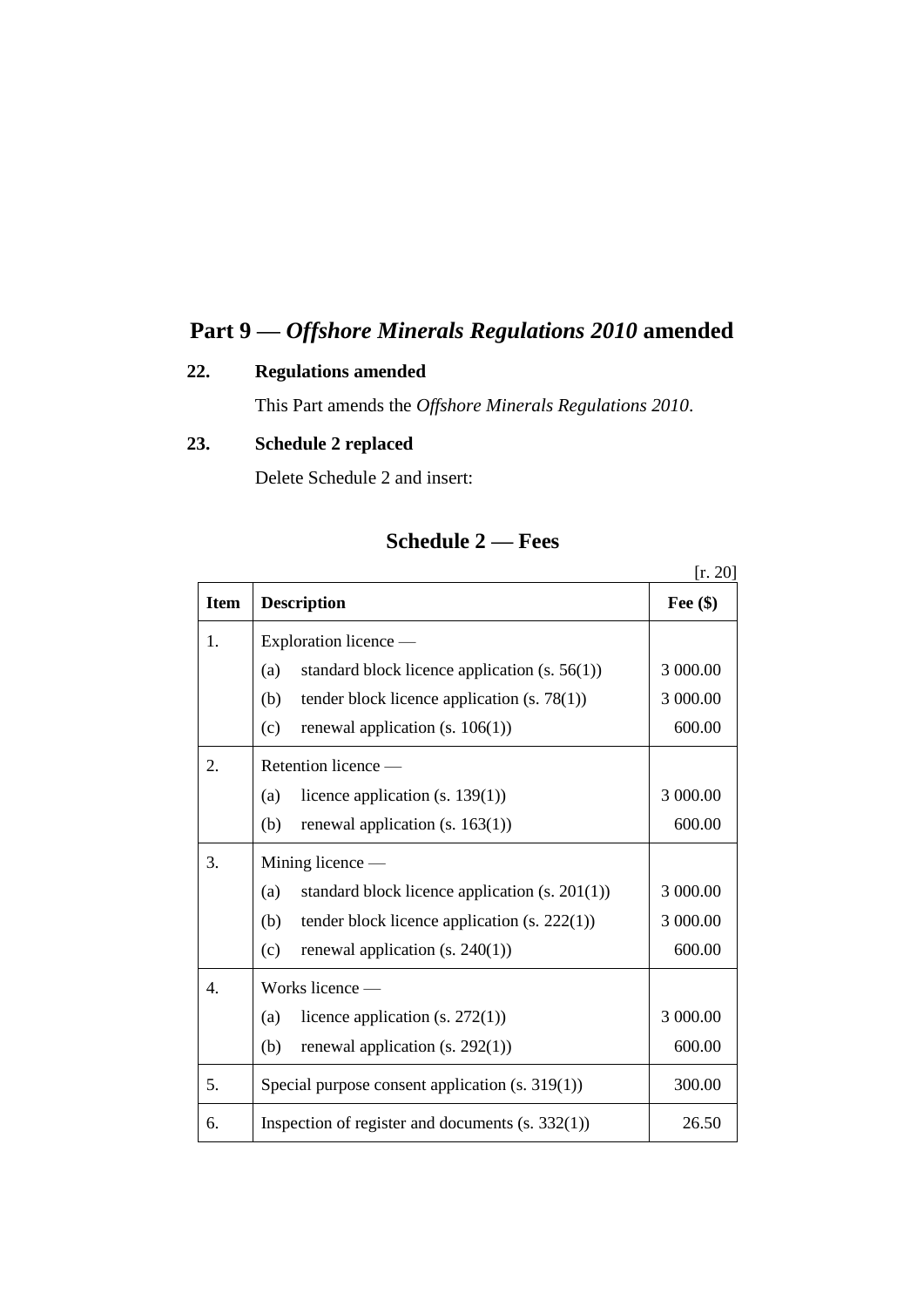# **Part 9 —** *Offshore Minerals Regulations 2010* **amended**

## **22. Regulations amended**

This Part amends the *Offshore Minerals Regulations 2010*.

## **23. Schedule 2 replaced**

Delete Schedule 2 and insert:

|             |                                                             | [r. 20]    |  |
|-------------|-------------------------------------------------------------|------------|--|
| <b>Item</b> | <b>Description</b>                                          | Fee $(\$)$ |  |
| 1.          | Exploration licence —                                       |            |  |
|             | (a)<br>standard block licence application $(s. 56(1))$      | 3 000.00   |  |
|             | tender block licence application $(s. 78(1))$<br>(b)        | 3 000.00   |  |
|             | renewal application $(s. 106(1))$<br>(c)                    | 600.00     |  |
| 2.          | Retention licence —                                         |            |  |
|             | licence application $(s. 139(1))$<br>(a)                    | 3 000.00   |  |
|             | (b)<br>renewal application $(s. 163(1))$                    | 600.00     |  |
| 3.          | Mining licence $-$                                          |            |  |
|             | standard block licence application $(s. 201(1))$<br>(a)     | 3 000.00   |  |
|             | (b)<br>tender block licence application $(s. 222(1))$       | 3 000.00   |  |
|             | renewal application $(s. 240(1))$<br>(c)                    | 600.00     |  |
| 4.          | Works licence -                                             |            |  |
|             | licence application $(s. 272(1))$<br>(a)                    | 3 000.00   |  |
|             | (b)<br>renewal application $(s. 292(1))$                    | 600.00     |  |
| 5.          | 300.00<br>Special purpose consent application $(s. 319(1))$ |            |  |
| 6.          | Inspection of register and documents $(s. 332(1))$<br>26.50 |            |  |

## **Schedule 2 — Fees**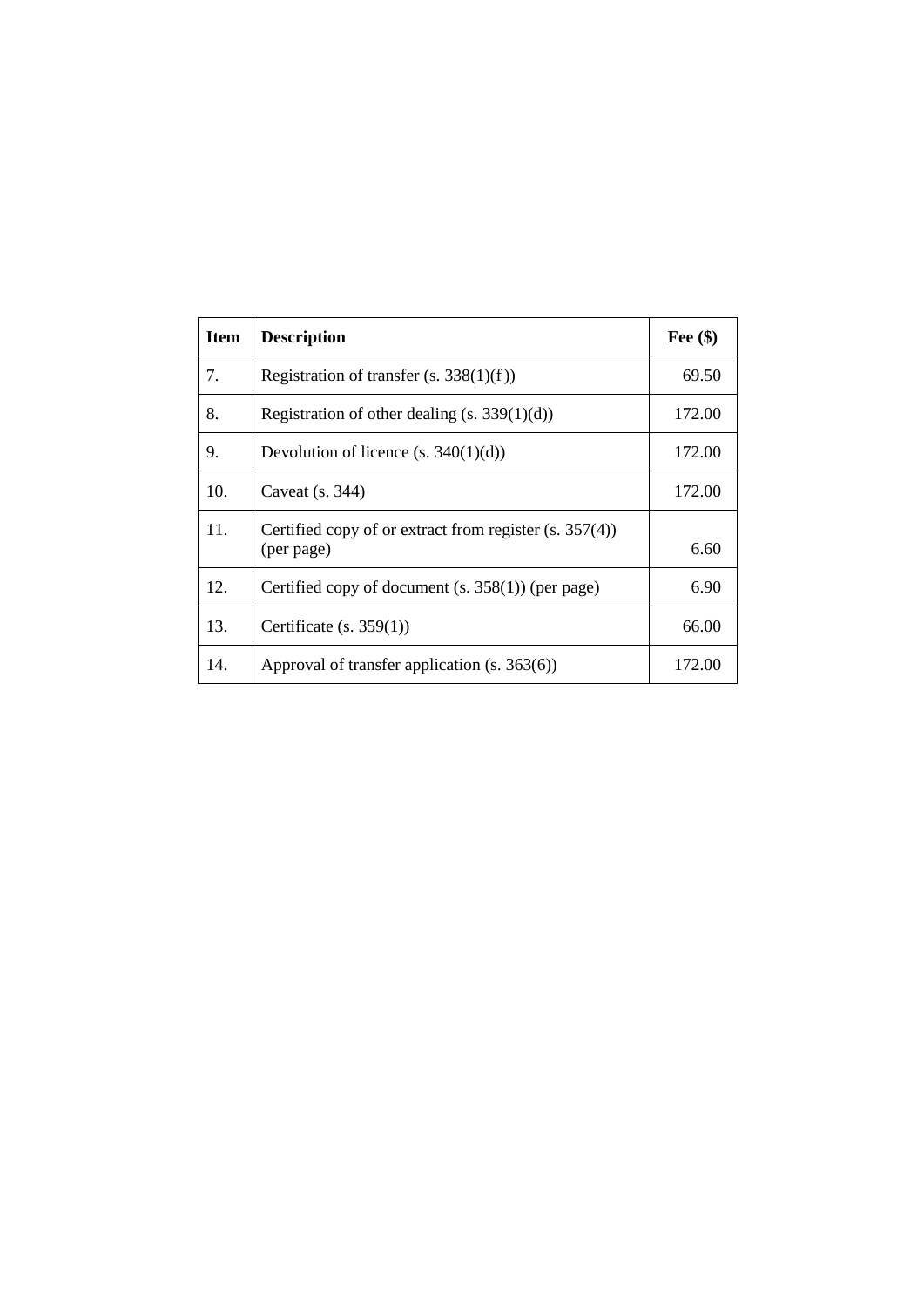| <b>Item</b> | <b>Description</b>                                                     | Fee $(\$)$ |
|-------------|------------------------------------------------------------------------|------------|
| 7.          | Registration of transfer $(s. 338(1)(f))$                              | 69.50      |
| 8.          | Registration of other dealing $(s. 339(1)(d))$                         | 172.00     |
| 9.          | Devolution of licence $(s. 340(1)(d))$                                 | 172.00     |
| 10.         | Caveat $(s. 344)$                                                      | 172.00     |
| 11.         | Certified copy of or extract from register $(s. 357(4))$<br>(per page) | 6.60       |
| 12.         | Certified copy of document $(s. 358(1))$ (per page)                    | 6.90       |
| 13.         | Certificate $(s. 359(1))$                                              | 66.00      |
| 14.         | Approval of transfer application (s. 363(6))                           | 172.00     |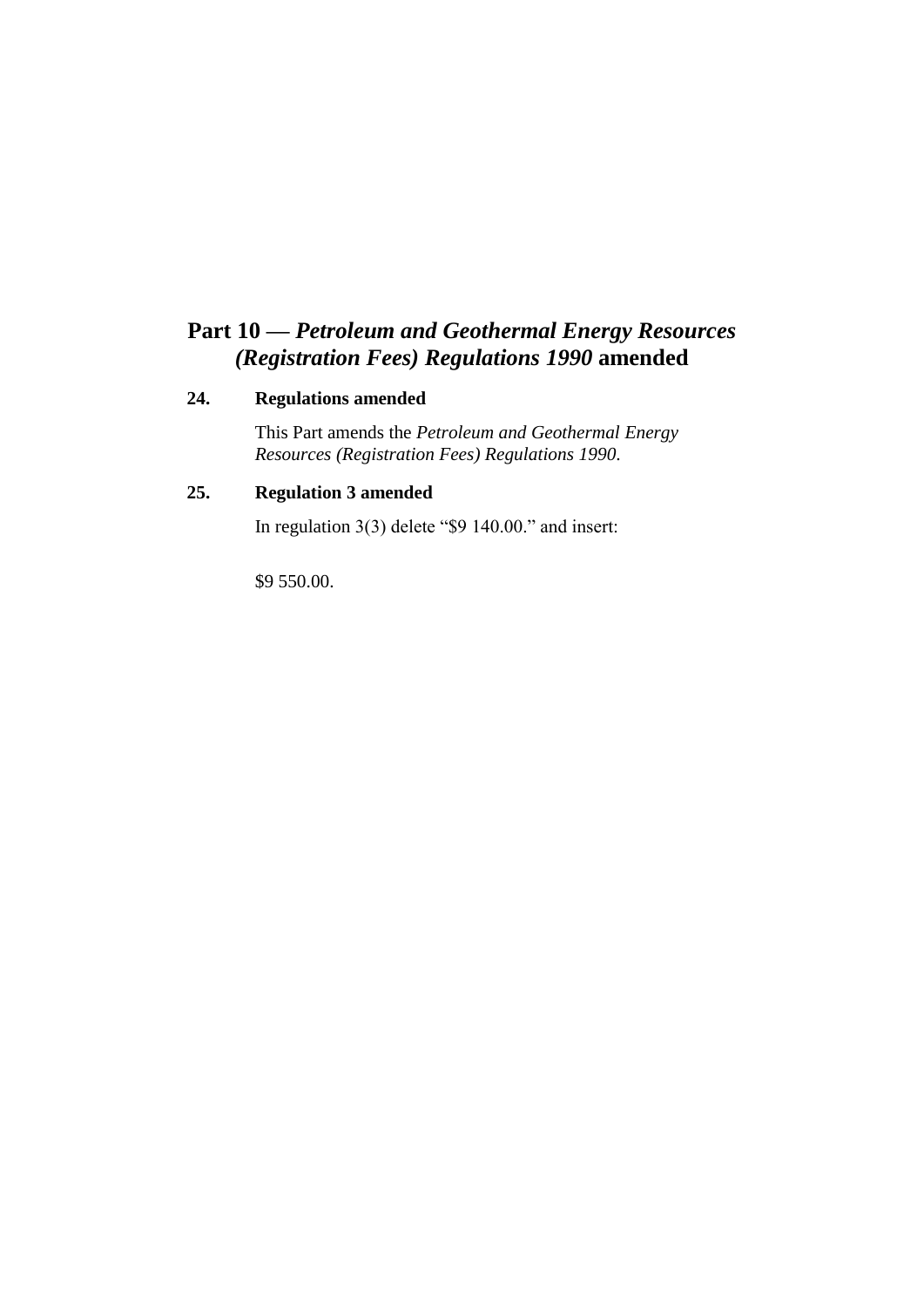# **Part 10 —** *Petroleum and Geothermal Energy Resources (Registration Fees) Regulations 1990* **amended**

#### **24. Regulations amended**

This Part amends the *Petroleum and Geothermal Energy Resources (Registration Fees) Regulations 1990*.

## **25. Regulation 3 amended**

In regulation 3(3) delete "\$9 140.00." and insert:

\$9 550.00.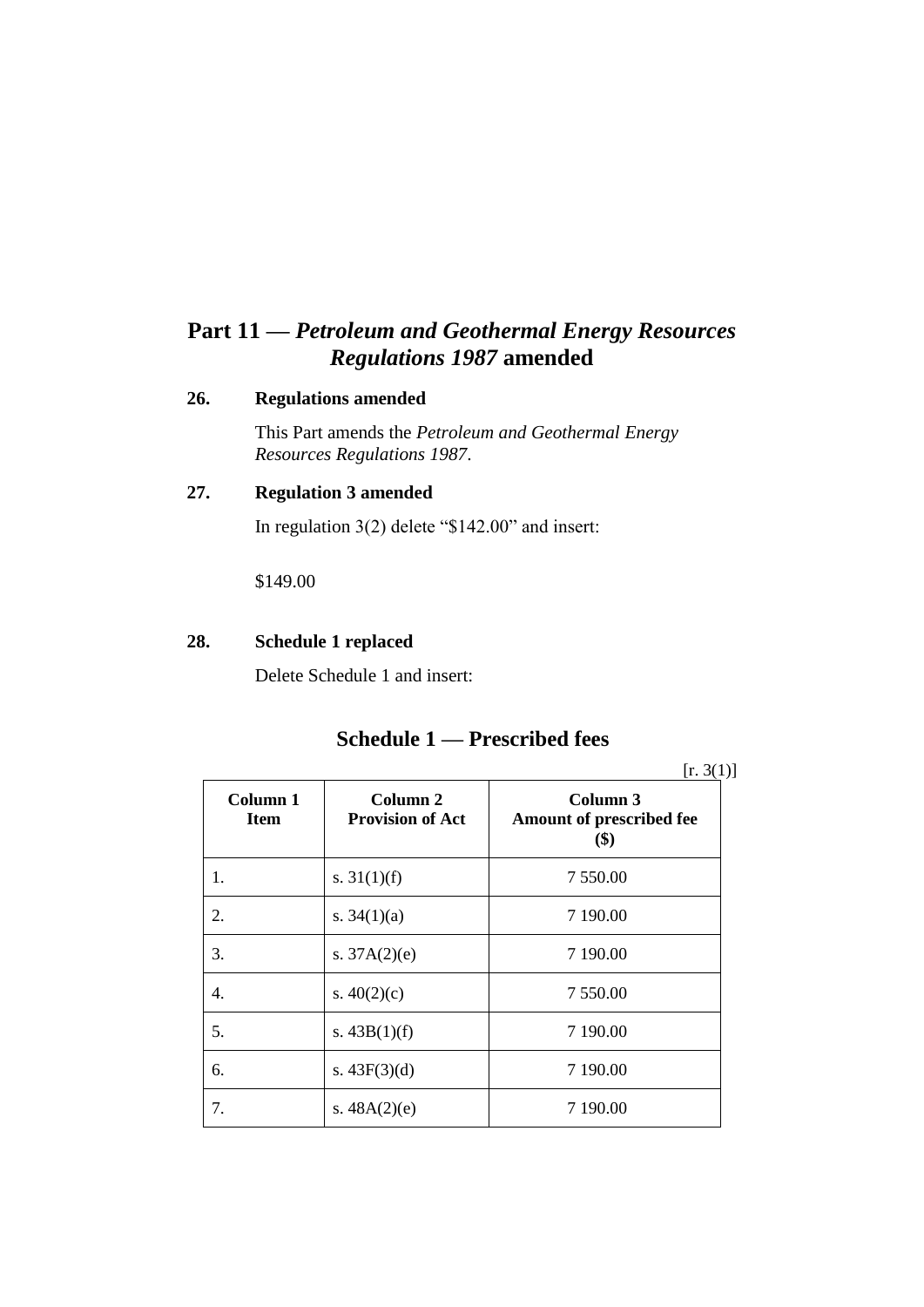# **Part 11 —** *Petroleum and Geothermal Energy Resources Regulations 1987* **amended**

#### **26. Regulations amended**

This Part amends the *Petroleum and Geothermal Energy Resources Regulations 1987*.

## **27. Regulation 3 amended**

In regulation 3(2) delete "\$142.00" and insert:

\$149.00

#### **28. Schedule 1 replaced**

Delete Schedule 1 and insert:

## **Schedule 1 — Prescribed fees**

 $[r. 3(1)]$ 

| Column 1<br><b>Item</b> | Column 2<br><b>Provision of Act</b> | Column 3<br>Amount of prescribed fee<br>$($ \$) |
|-------------------------|-------------------------------------|-------------------------------------------------|
| 1.                      | s. $31(1)(f)$                       | 7 550.00                                        |
| 2.                      | s. $34(1)(a)$                       | 7 190.00                                        |
| 3.                      | s. $37A(2)(e)$                      | 7 190.00                                        |
| 4.                      | s. $40(2)(c)$                       | 7 550.00                                        |
| 5.                      | s. $43B(1)(f)$                      | 7 190.00                                        |
| б.                      | s. $43F(3)(d)$                      | 7 190.00                                        |
| 7.                      | s. $48A(2)(e)$                      | 7 190.00                                        |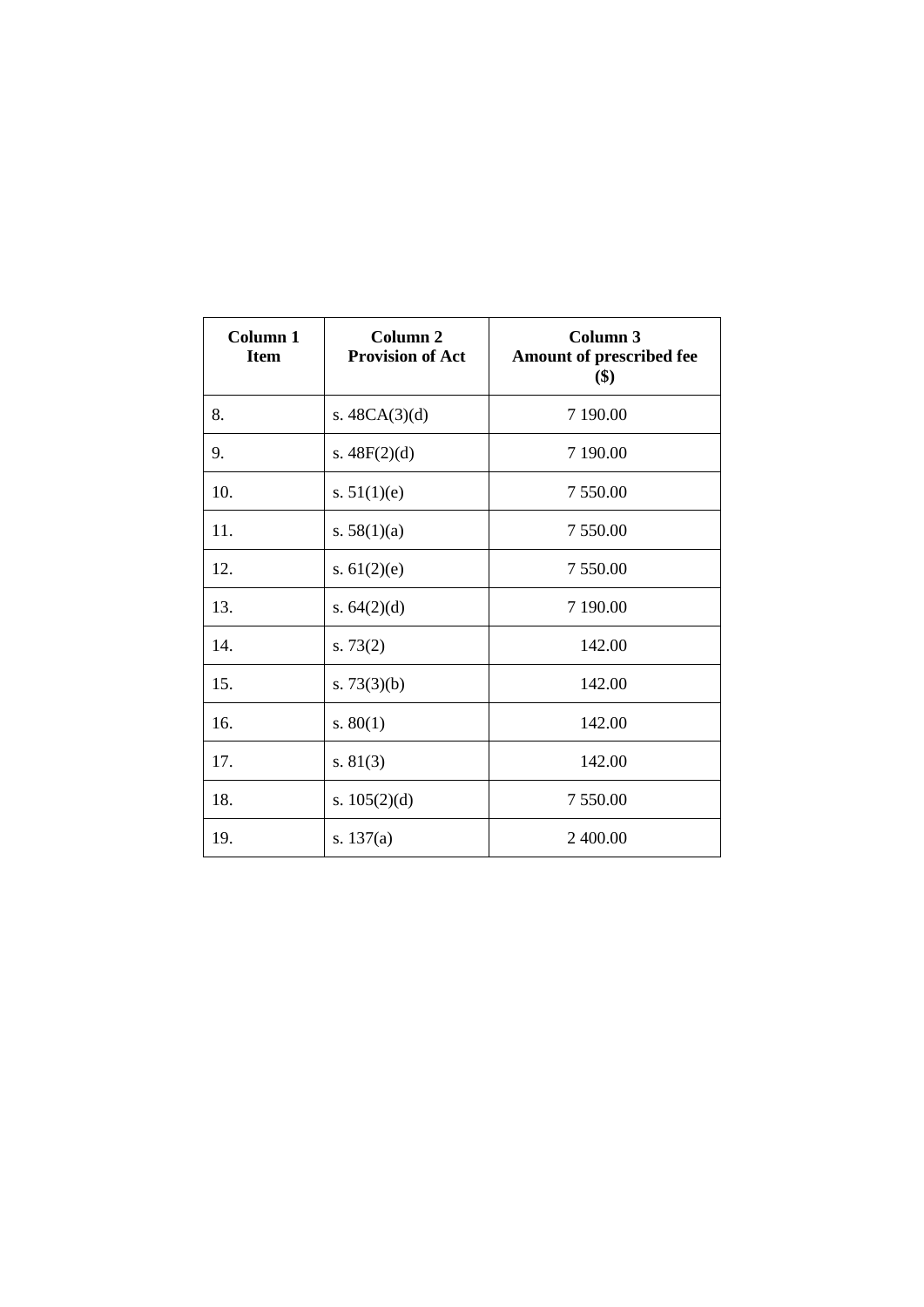| Column <sub>1</sub><br><b>Item</b> | Column <sub>2</sub><br><b>Provision of Act</b> | Column 3<br>Amount of prescribed fee<br>\$) |
|------------------------------------|------------------------------------------------|---------------------------------------------|
| 8.                                 | s. $48CA(3)(d)$                                | 7 190.00                                    |
| 9.                                 | s. $48F(2)(d)$                                 | 7 190.00                                    |
| 10.                                | s. $51(1)(e)$                                  | 7 550.00                                    |
| 11.                                | s. $58(1)(a)$                                  | 7 550.00                                    |
| 12.                                | s. $61(2)(e)$                                  | 7 550.00                                    |
| 13.                                | s. $64(2)(d)$                                  | 7 190.00                                    |
| 14.                                | s. $73(2)$                                     | 142.00                                      |
| 15.                                | s. $73(3)(b)$                                  | 142.00                                      |
| 16.                                | s. $80(1)$                                     | 142.00                                      |
| 17.                                | s. $81(3)$                                     | 142.00                                      |
| 18.                                | s. $105(2)(d)$                                 | 7 550.00                                    |
| 19.                                | s. $137(a)$                                    | 2 400.00                                    |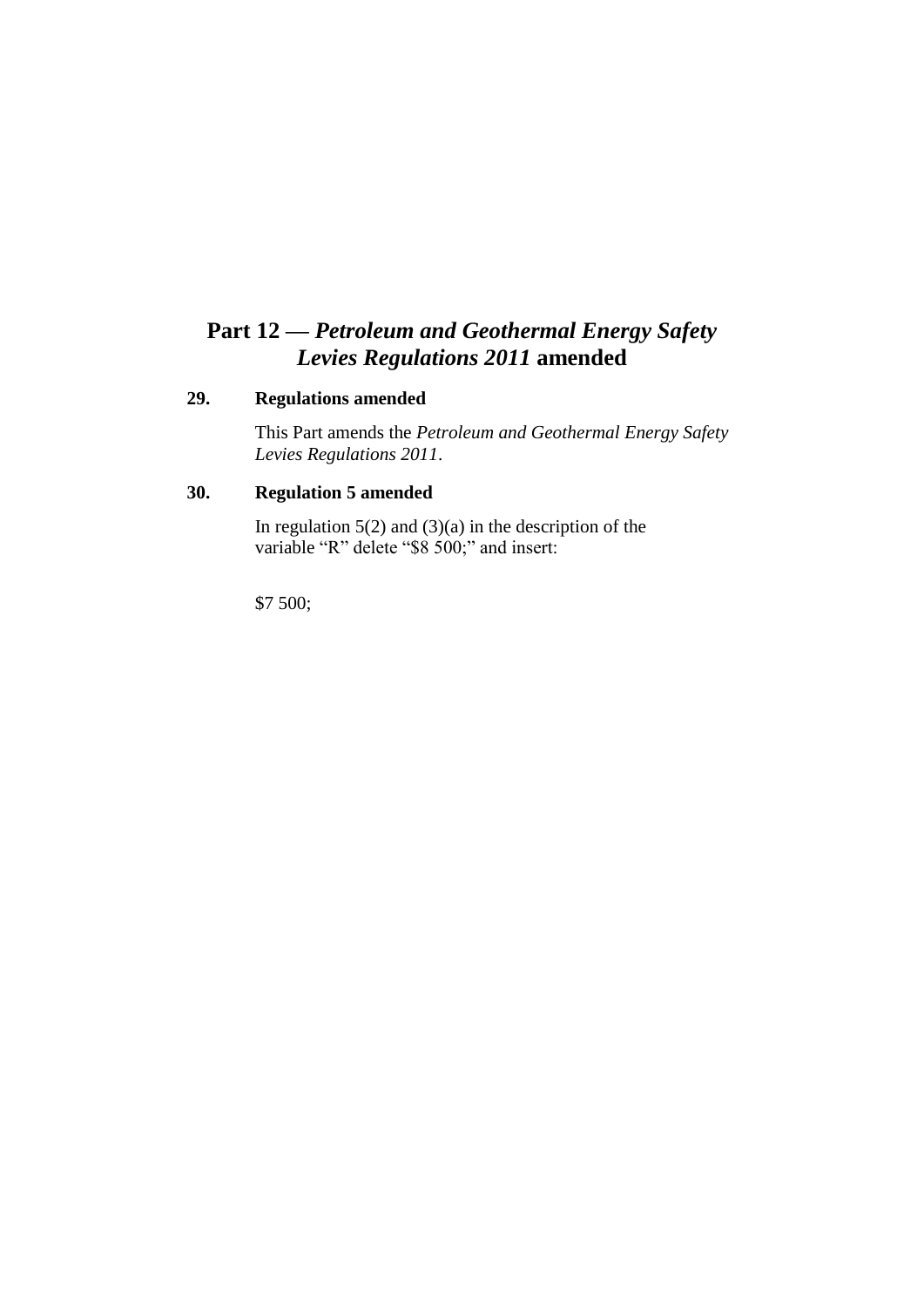# **Part 12 —** *Petroleum and Geothermal Energy Safety Levies Regulations 2011* **amended**

#### **29. Regulations amended**

This Part amends the *Petroleum and Geothermal Energy Safety Levies Regulations 2011*.

### **30. Regulation 5 amended**

In regulation  $5(2)$  and  $(3)(a)$  in the description of the variable "R" delete "\$8 500;" and insert:

\$7 500;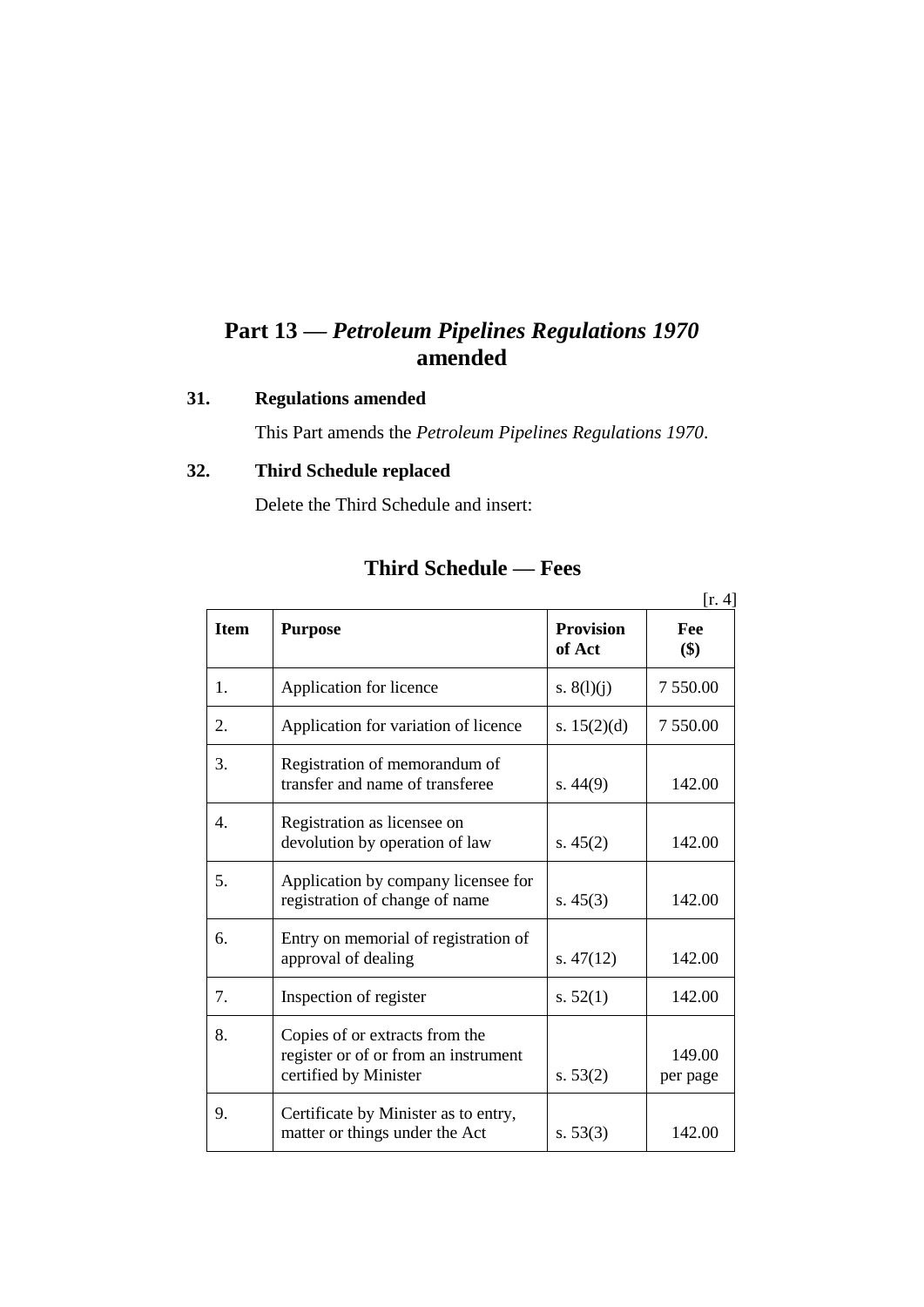# **Part 13 —** *Petroleum Pipelines Regulations 1970* **amended**

### **31. Regulations amended**

This Part amends the *Petroleum Pipelines Regulations 1970*.

## **32. Third Schedule replaced**

Delete the Third Schedule and insert:

|             |                                                                                                 |                            | [r. 4]             |
|-------------|-------------------------------------------------------------------------------------------------|----------------------------|--------------------|
| <b>Item</b> | <b>Purpose</b>                                                                                  | <b>Provision</b><br>of Act | Fee<br>\$)         |
| 1.          | Application for licence                                                                         | s. $8(l)(j)$               | 7 550.00           |
| 2.          | Application for variation of licence                                                            | s. $15(2)(d)$              | 7 550.00           |
| 3.          | Registration of memorandum of<br>transfer and name of transferee                                | s. $44(9)$                 | 142.00             |
| 4.          | Registration as licensee on<br>devolution by operation of law                                   | s. $45(2)$                 | 142.00             |
| 5.          | Application by company licensee for<br>registration of change of name                           | s. $45(3)$                 | 142.00             |
| 6.          | Entry on memorial of registration of<br>approval of dealing                                     | s. $47(12)$                | 142.00             |
| 7.          | Inspection of register                                                                          | s. $52(1)$                 | 142.00             |
| 8.          | Copies of or extracts from the<br>register or of or from an instrument<br>certified by Minister | s. 53(2)                   | 149.00<br>per page |
| 9.          | Certificate by Minister as to entry,<br>matter or things under the Act                          | s. $53(3)$                 | 142.00             |

## **Third Schedule — Fees**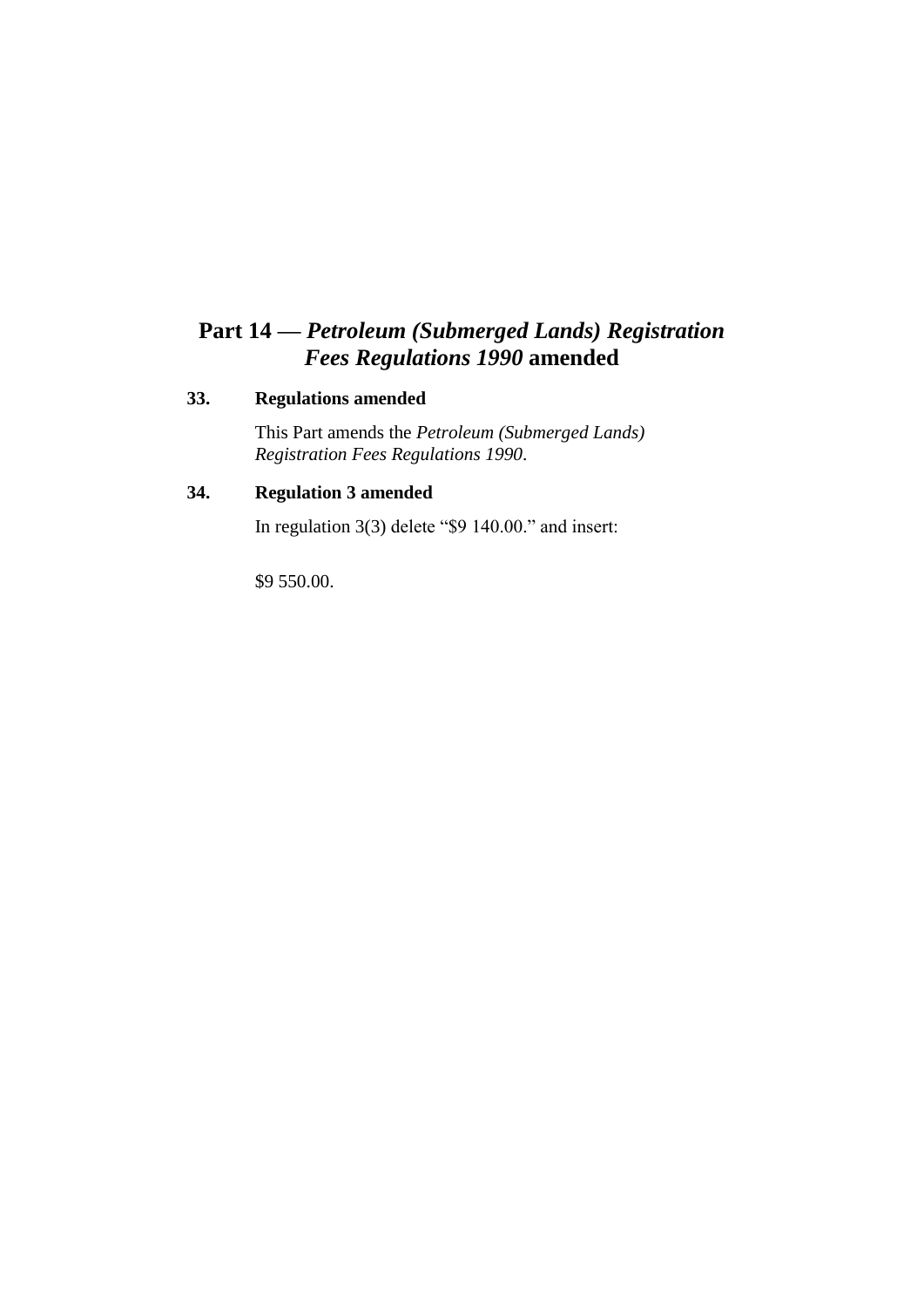# **Part 14 —** *Petroleum (Submerged Lands) Registration Fees Regulations 1990* **amended**

### **33. Regulations amended**

This Part amends the *Petroleum (Submerged Lands) Registration Fees Regulations 1990*.

## **34. Regulation 3 amended**

In regulation 3(3) delete "\$9 140.00." and insert:

\$9 550.00.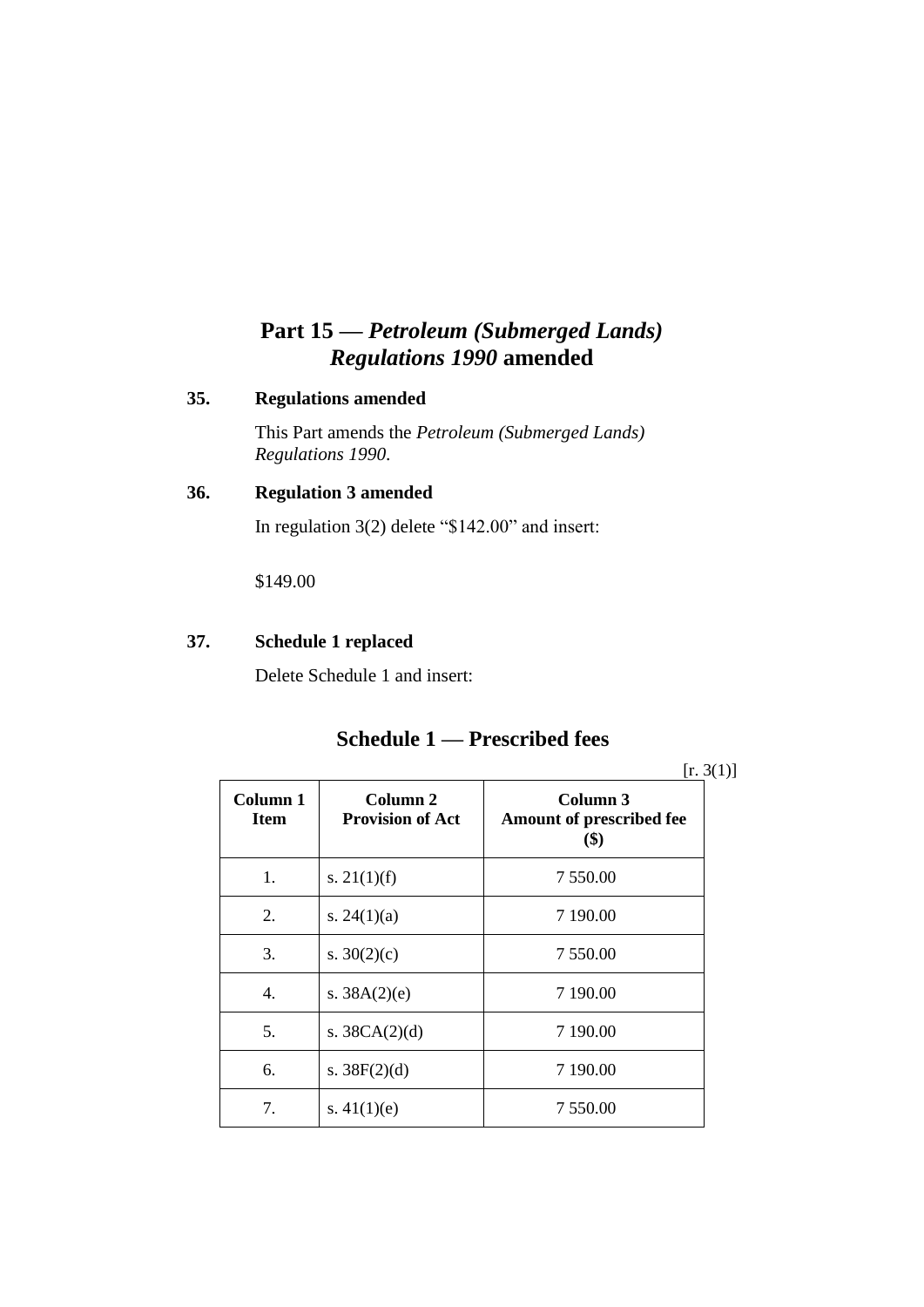# **Part 15 —** *Petroleum (Submerged Lands) Regulations 1990* **amended**

#### **35. Regulations amended**

This Part amends the *Petroleum (Submerged Lands) Regulations 1990*.

## **36. Regulation 3 amended**

In regulation 3(2) delete "\$142.00" and insert:

\$149.00

### **37. Schedule 1 replaced**

Delete Schedule 1 and insert:

## **Schedule 1 — Prescribed fees**

 $[r. 3(1)]$ 

| Column 1<br><b>Item</b> | Column 2<br><b>Provision of Act</b> | Column 3<br><b>Amount of prescribed fee</b><br>\$) |
|-------------------------|-------------------------------------|----------------------------------------------------|
| 1.                      | s. $21(1)(f)$                       | 7 550.00                                           |
| 2.                      | s. $24(1)(a)$                       | 7 190.00                                           |
| 3.                      | s. $30(2)(c)$                       | 7 550.00                                           |
| 4.                      | s. $38A(2)(e)$                      | 7 190.00                                           |
| 5.                      | s. $38CA(2)(d)$                     | 7 190.00                                           |
| 6.                      | s. $38F(2)(d)$                      | 7 190.00                                           |
| 7.                      | s. $41(1)(e)$                       | 7 550.00                                           |